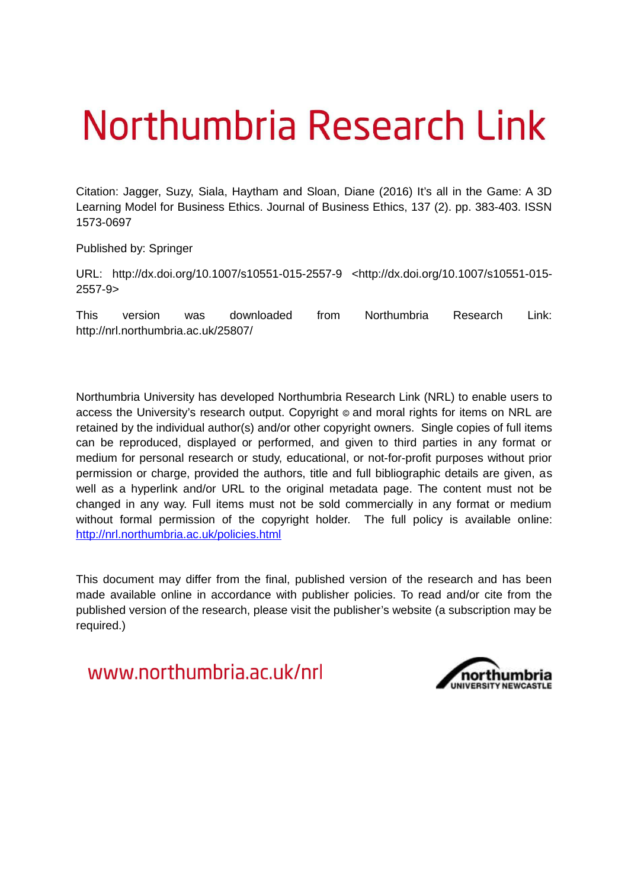# Northumbria Research Link

Citation: Jagger, Suzy, Siala, Haytham and Sloan, Diane (2016) It's all in the Game: A 3D Learning Model for Business Ethics. Journal of Business Ethics, 137 (2). pp. 383-403. ISSN 1573-0697

Published by: Springer

URL: http://dx.doi.org/10.1007/s10551-015-2557-9 <http://dx.doi.org/10.1007/s10551-015- 2557-9>

This version was downloaded from Northumbria Research Link: http://nrl.northumbria.ac.uk/25807/

Northumbria University has developed Northumbria Research Link (NRL) to enable users to access the University's research output. Copyright  $\circ$  and moral rights for items on NRL are retained by the individual author(s) and/or other copyright owners. Single copies of full items can be reproduced, displayed or performed, and given to third parties in any format or medium for personal research or study, educational, or not-for-profit purposes without prior permission or charge, provided the authors, title and full bibliographic details are given, as well as a hyperlink and/or URL to the original metadata page. The content must not be changed in any way. Full items must not be sold commercially in any format or medium without formal permission of the copyright holder. The full policy is available online: <http://nrl.northumbria.ac.uk/policies.html>

This document may differ from the final, published version of the research and has been made available online in accordance with publisher policies. To read and/or cite from the published version of the research, please visit the publisher's website (a subscription may be required.)

www.northumbria.ac.uk/nrl

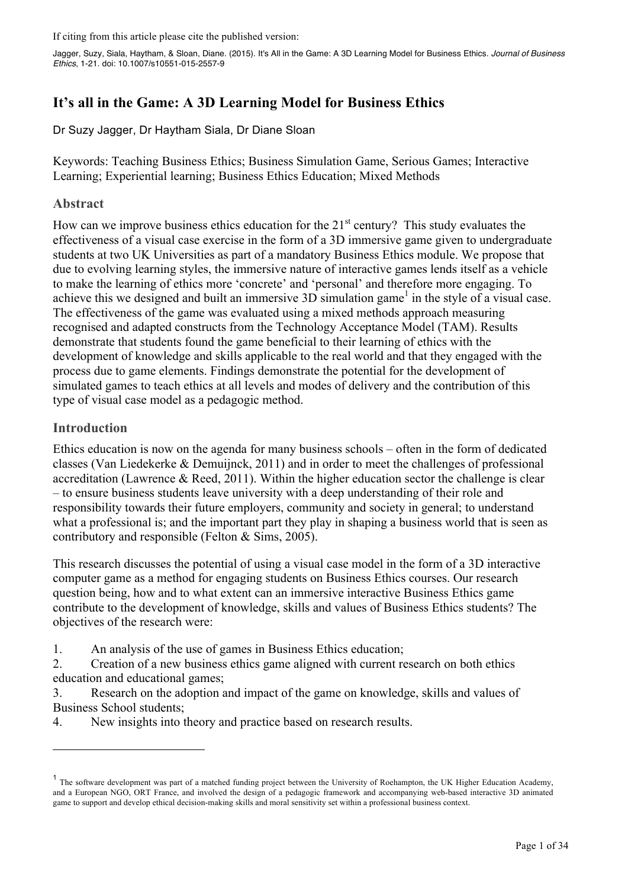Jagger, Suzy, Siala, Haytham, & Sloan, Diane. (2015). It's All in the Game: A 3D Learning Model for Business Ethics. Journal of Business Ethics, 1-21. doi: 10.1007/s10551-015-2557-9

# **It's all in the Game: A 3D Learning Model for Business Ethics**

Dr Suzy Jagger, Dr Haytham Siala, Dr Diane Sloan

Keywords: Teaching Business Ethics; Business Simulation Game, Serious Games; Interactive Learning; Experiential learning; Business Ethics Education; Mixed Methods

#### **Abstract**

How can we improve business ethics education for the  $21<sup>st</sup>$  century? This study evaluates the effectiveness of a visual case exercise in the form of a 3D immersive game given to undergraduate students at two UK Universities as part of a mandatory Business Ethics module. We propose that due to evolving learning styles, the immersive nature of interactive games lends itself as a vehicle to make the learning of ethics more 'concrete' and 'personal' and therefore more engaging. To achieve this we designed and built an immersive  $3D$  simulation game<sup>1</sup> in the style of a visual case. The effectiveness of the game was evaluated using a mixed methods approach measuring recognised and adapted constructs from the Technology Acceptance Model (TAM). Results demonstrate that students found the game beneficial to their learning of ethics with the development of knowledge and skills applicable to the real world and that they engaged with the process due to game elements. Findings demonstrate the potential for the development of simulated games to teach ethics at all levels and modes of delivery and the contribution of this type of visual case model as a pedagogic method.

#### **Introduction**

 $\overline{a}$ 

Ethics education is now on the agenda for many business schools – often in the form of dedicated classes (Van Liedekerke & Demuijnck, 2011) and in order to meet the challenges of professional accreditation (Lawrence & Reed, 2011). Within the higher education sector the challenge is clear – to ensure business students leave university with a deep understanding of their role and responsibility towards their future employers, community and society in general; to understand what a professional is; and the important part they play in shaping a business world that is seen as contributory and responsible (Felton & Sims, 2005).

This research discusses the potential of using a visual case model in the form of a 3D interactive computer game as a method for engaging students on Business Ethics courses. Our research question being, how and to what extent can an immersive interactive Business Ethics game contribute to the development of knowledge, skills and values of Business Ethics students? The objectives of the research were:

1. An analysis of the use of games in Business Ethics education;

2. Creation of a new business ethics game aligned with current research on both ethics education and educational games;

3. Research on the adoption and impact of the game on knowledge, skills and values of Business School students;

4. New insights into theory and practice based on research results.

<sup>&</sup>lt;sup>1</sup> The software development was part of a matched funding project between the University of Roehampton, the UK Higher Education Academy, and a European NGO, ORT France, and involved the design of a pedagogic framework and accompanying web-based interactive 3D animated game to support and develop ethical decision-making skills and moral sensitivity set within a professional business context.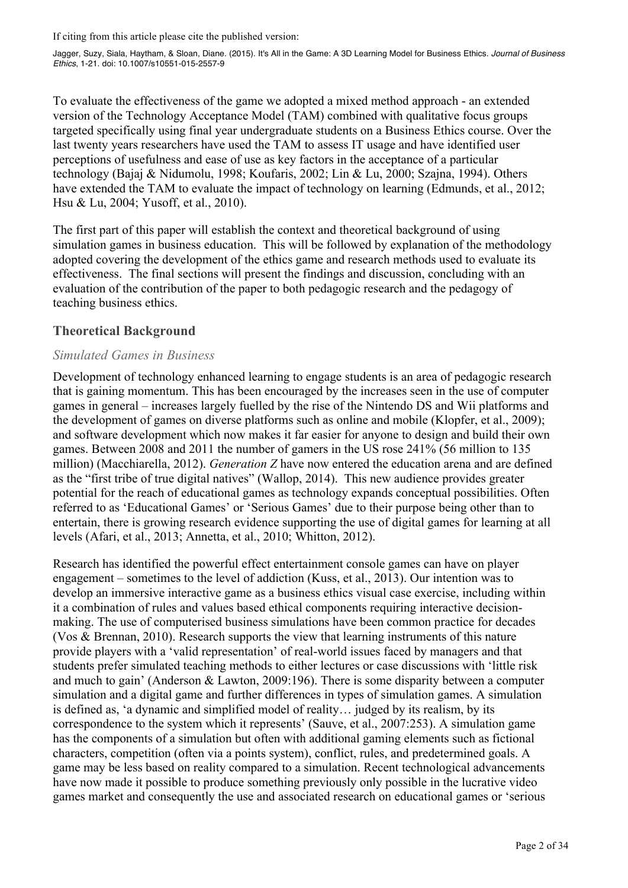Jagger, Suzy, Siala, Haytham, & Sloan, Diane. (2015). It's All in the Game: A 3D Learning Model for Business Ethics. Journal of Business Ethics, 1-21. doi: 10.1007/s10551-015-2557-9

To evaluate the effectiveness of the game we adopted a mixed method approach - an extended version of the Technology Acceptance Model (TAM) combined with qualitative focus groups targeted specifically using final year undergraduate students on a Business Ethics course. Over the last twenty years researchers have used the TAM to assess IT usage and have identified user perceptions of usefulness and ease of use as key factors in the acceptance of a particular technology (Bajaj & Nidumolu, 1998; Koufaris, 2002; Lin & Lu, 2000; Szajna, 1994). Others have extended the TAM to evaluate the impact of technology on learning (Edmunds, et al., 2012; Hsu & Lu, 2004; Yusoff, et al., 2010).

The first part of this paper will establish the context and theoretical background of using simulation games in business education. This will be followed by explanation of the methodology adopted covering the development of the ethics game and research methods used to evaluate its effectiveness. The final sections will present the findings and discussion, concluding with an evaluation of the contribution of the paper to both pedagogic research and the pedagogy of teaching business ethics.

#### **Theoretical Background**

#### *Simulated Games in Business*

Development of technology enhanced learning to engage students is an area of pedagogic research that is gaining momentum. This has been encouraged by the increases seen in the use of computer games in general – increases largely fuelled by the rise of the Nintendo DS and Wii platforms and the development of games on diverse platforms such as online and mobile (Klopfer, et al., 2009); and software development which now makes it far easier for anyone to design and build their own games. Between 2008 and 2011 the number of gamers in the US rose 241% (56 million to 135 million) (Macchiarella, 2012). *Generation Z* have now entered the education arena and are defined as the "first tribe of true digital natives" (Wallop, 2014). This new audience provides greater potential for the reach of educational games as technology expands conceptual possibilities. Often referred to as 'Educational Games' or 'Serious Games' due to their purpose being other than to entertain, there is growing research evidence supporting the use of digital games for learning at all levels (Afari, et al., 2013; Annetta, et al., 2010; Whitton, 2012).

Research has identified the powerful effect entertainment console games can have on player engagement – sometimes to the level of addiction (Kuss, et al., 2013). Our intention was to develop an immersive interactive game as a business ethics visual case exercise, including within it a combination of rules and values based ethical components requiring interactive decisionmaking. The use of computerised business simulations have been common practice for decades (Vos & Brennan, 2010). Research supports the view that learning instruments of this nature provide players with a 'valid representation' of real-world issues faced by managers and that students prefer simulated teaching methods to either lectures or case discussions with 'little risk and much to gain' (Anderson & Lawton, 2009:196). There is some disparity between a computer simulation and a digital game and further differences in types of simulation games. A simulation is defined as, 'a dynamic and simplified model of reality… judged by its realism, by its correspondence to the system which it represents' (Sauve, et al., 2007:253). A simulation game has the components of a simulation but often with additional gaming elements such as fictional characters, competition (often via a points system), conflict, rules, and predetermined goals. A game may be less based on reality compared to a simulation. Recent technological advancements have now made it possible to produce something previously only possible in the lucrative video games market and consequently the use and associated research on educational games or 'serious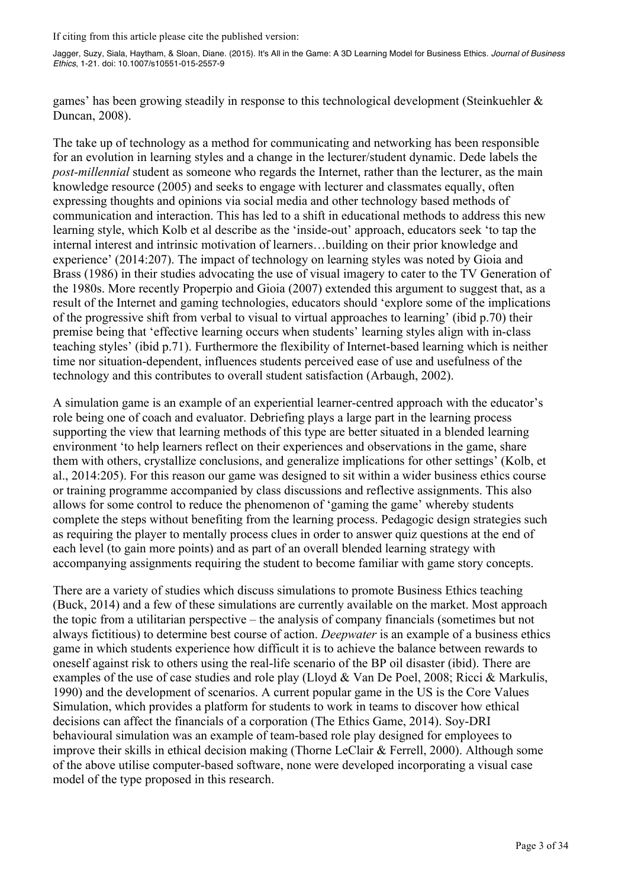Jagger, Suzy, Siala, Haytham, & Sloan, Diane. (2015). It's All in the Game: A 3D Learning Model for Business Ethics. Journal of Business Ethics, 1-21. doi: 10.1007/s10551-015-2557-9

games' has been growing steadily in response to this technological development (Steinkuehler & Duncan, 2008).

The take up of technology as a method for communicating and networking has been responsible for an evolution in learning styles and a change in the lecturer/student dynamic. Dede labels the *post-millennial* student as someone who regards the Internet, rather than the lecturer, as the main knowledge resource (2005) and seeks to engage with lecturer and classmates equally, often expressing thoughts and opinions via social media and other technology based methods of communication and interaction. This has led to a shift in educational methods to address this new learning style, which Kolb et al describe as the 'inside-out' approach, educators seek 'to tap the internal interest and intrinsic motivation of learners…building on their prior knowledge and experience' (2014:207). The impact of technology on learning styles was noted by Gioia and Brass (1986) in their studies advocating the use of visual imagery to cater to the TV Generation of the 1980s. More recently Properpio and Gioia (2007) extended this argument to suggest that, as a result of the Internet and gaming technologies, educators should 'explore some of the implications of the progressive shift from verbal to visual to virtual approaches to learning' (ibid p.70) their premise being that 'effective learning occurs when students' learning styles align with in-class teaching styles' (ibid p.71). Furthermore the flexibility of Internet-based learning which is neither time nor situation-dependent, influences students perceived ease of use and usefulness of the technology and this contributes to overall student satisfaction (Arbaugh, 2002).

A simulation game is an example of an experiential learner-centred approach with the educator's role being one of coach and evaluator. Debriefing plays a large part in the learning process supporting the view that learning methods of this type are better situated in a blended learning environment 'to help learners reflect on their experiences and observations in the game, share them with others, crystallize conclusions, and generalize implications for other settings' (Kolb, et al., 2014:205). For this reason our game was designed to sit within a wider business ethics course or training programme accompanied by class discussions and reflective assignments. This also allows for some control to reduce the phenomenon of 'gaming the game' whereby students complete the steps without benefiting from the learning process. Pedagogic design strategies such as requiring the player to mentally process clues in order to answer quiz questions at the end of each level (to gain more points) and as part of an overall blended learning strategy with accompanying assignments requiring the student to become familiar with game story concepts.

There are a variety of studies which discuss simulations to promote Business Ethics teaching (Buck, 2014) and a few of these simulations are currently available on the market. Most approach the topic from a utilitarian perspective – the analysis of company financials (sometimes but not always fictitious) to determine best course of action. *Deepwater* is an example of a business ethics game in which students experience how difficult it is to achieve the balance between rewards to oneself against risk to others using the real-life scenario of the BP oil disaster (ibid). There are examples of the use of case studies and role play (Lloyd & Van De Poel, 2008; Ricci & Markulis, 1990) and the development of scenarios. A current popular game in the US is the Core Values Simulation, which provides a platform for students to work in teams to discover how ethical decisions can affect the financials of a corporation (The Ethics Game, 2014). Soy-DRI behavioural simulation was an example of team-based role play designed for employees to improve their skills in ethical decision making (Thorne LeClair & Ferrell, 2000). Although some of the above utilise computer-based software, none were developed incorporating a visual case model of the type proposed in this research.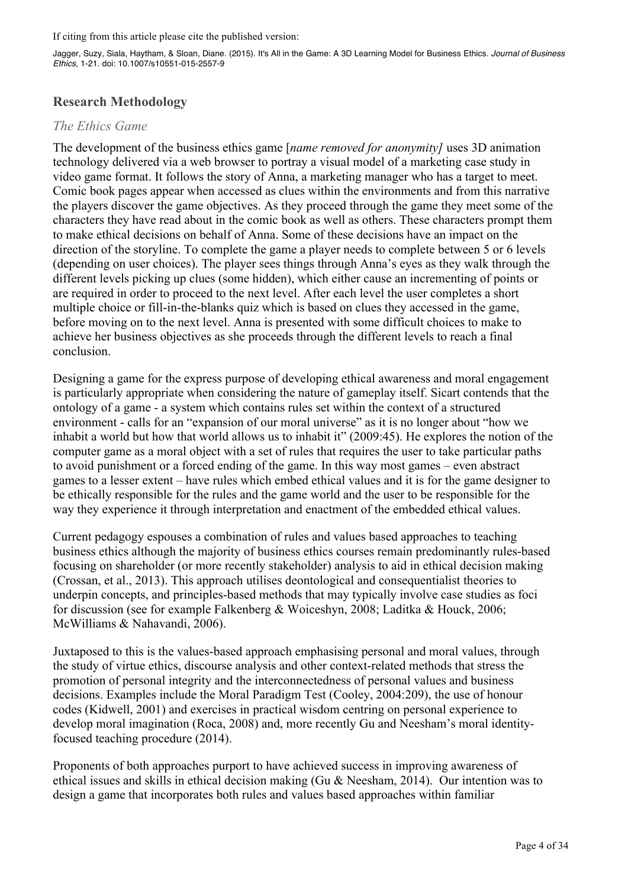Jagger, Suzy, Siala, Haytham, & Sloan, Diane. (2015). It's All in the Game: A 3D Learning Model for Business Ethics. Journal of Business Ethics, 1-21. doi: 10.1007/s10551-015-2557-9

## **Research Methodology**

#### *The Ethics Game*

The development of the business ethics game [*name removed for anonymity]* uses 3D animation technology delivered via a web browser to portray a visual model of a marketing case study in video game format. It follows the story of Anna, a marketing manager who has a target to meet. Comic book pages appear when accessed as clues within the environments and from this narrative the players discover the game objectives. As they proceed through the game they meet some of the characters they have read about in the comic book as well as others. These characters prompt them to make ethical decisions on behalf of Anna. Some of these decisions have an impact on the direction of the storyline. To complete the game a player needs to complete between 5 or 6 levels (depending on user choices). The player sees things through Anna's eyes as they walk through the different levels picking up clues (some hidden), which either cause an incrementing of points or are required in order to proceed to the next level. After each level the user completes a short multiple choice or fill-in-the-blanks quiz which is based on clues they accessed in the game, before moving on to the next level. Anna is presented with some difficult choices to make to achieve her business objectives as she proceeds through the different levels to reach a final conclusion.

Designing a game for the express purpose of developing ethical awareness and moral engagement is particularly appropriate when considering the nature of gameplay itself. Sicart contends that the ontology of a game - a system which contains rules set within the context of a structured environment - calls for an "expansion of our moral universe" as it is no longer about "how we inhabit a world but how that world allows us to inhabit it" (2009:45). He explores the notion of the computer game as a moral object with a set of rules that requires the user to take particular paths to avoid punishment or a forced ending of the game. In this way most games – even abstract games to a lesser extent – have rules which embed ethical values and it is for the game designer to be ethically responsible for the rules and the game world and the user to be responsible for the way they experience it through interpretation and enactment of the embedded ethical values.

Current pedagogy espouses a combination of rules and values based approaches to teaching business ethics although the majority of business ethics courses remain predominantly rules-based focusing on shareholder (or more recently stakeholder) analysis to aid in ethical decision making (Crossan, et al., 2013). This approach utilises deontological and consequentialist theories to underpin concepts, and principles-based methods that may typically involve case studies as foci for discussion (see for example Falkenberg & Woiceshyn, 2008; Laditka & Houck, 2006; McWilliams & Nahavandi, 2006).

Juxtaposed to this is the values-based approach emphasising personal and moral values, through the study of virtue ethics, discourse analysis and other context-related methods that stress the promotion of personal integrity and the interconnectedness of personal values and business decisions. Examples include the Moral Paradigm Test (Cooley, 2004:209), the use of honour codes (Kidwell, 2001) and exercises in practical wisdom centring on personal experience to develop moral imagination (Roca, 2008) and, more recently Gu and Neesham's moral identityfocused teaching procedure (2014).

Proponents of both approaches purport to have achieved success in improving awareness of ethical issues and skills in ethical decision making (Gu & Neesham, 2014). Our intention was to design a game that incorporates both rules and values based approaches within familiar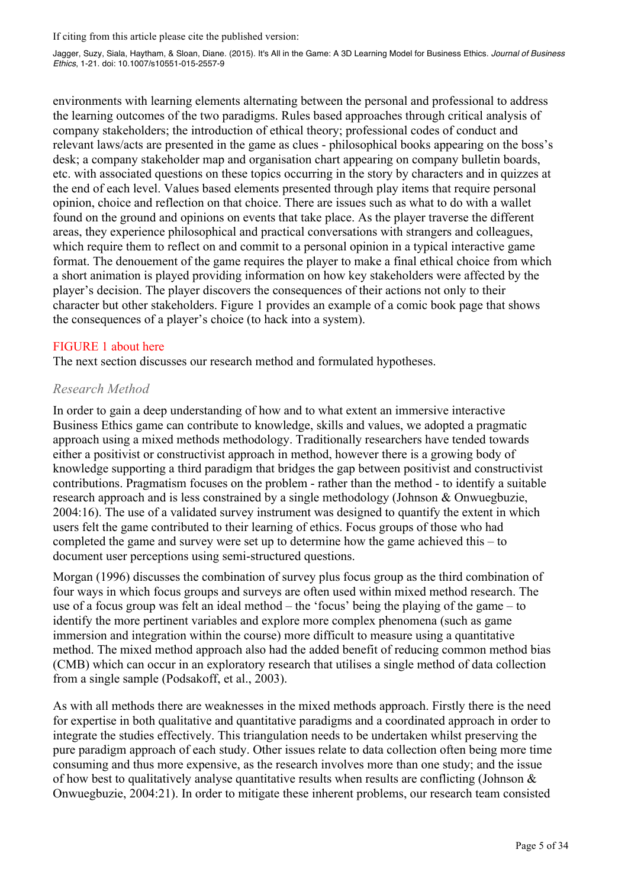Jagger, Suzy, Siala, Haytham, & Sloan, Diane. (2015). It's All in the Game: A 3D Learning Model for Business Ethics. Journal of Business Ethics, 1-21. doi: 10.1007/s10551-015-2557-9

environments with learning elements alternating between the personal and professional to address the learning outcomes of the two paradigms. Rules based approaches through critical analysis of company stakeholders; the introduction of ethical theory; professional codes of conduct and relevant laws/acts are presented in the game as clues - philosophical books appearing on the boss's desk; a company stakeholder map and organisation chart appearing on company bulletin boards, etc. with associated questions on these topics occurring in the story by characters and in quizzes at the end of each level. Values based elements presented through play items that require personal opinion, choice and reflection on that choice. There are issues such as what to do with a wallet found on the ground and opinions on events that take place. As the player traverse the different areas, they experience philosophical and practical conversations with strangers and colleagues, which require them to reflect on and commit to a personal opinion in a typical interactive game format. The denouement of the game requires the player to make a final ethical choice from which a short animation is played providing information on how key stakeholders were affected by the player's decision. The player discovers the consequences of their actions not only to their character but other stakeholders. Figure 1 provides an example of a comic book page that shows the consequences of a player's choice (to hack into a system).

#### FIGURE 1 about here

The next section discusses our research method and formulated hypotheses.

#### *Research Method*

In order to gain a deep understanding of how and to what extent an immersive interactive Business Ethics game can contribute to knowledge, skills and values, we adopted a pragmatic approach using a mixed methods methodology. Traditionally researchers have tended towards either a positivist or constructivist approach in method, however there is a growing body of knowledge supporting a third paradigm that bridges the gap between positivist and constructivist contributions. Pragmatism focuses on the problem - rather than the method - to identify a suitable research approach and is less constrained by a single methodology (Johnson & Onwuegbuzie, 2004:16). The use of a validated survey instrument was designed to quantify the extent in which users felt the game contributed to their learning of ethics. Focus groups of those who had completed the game and survey were set up to determine how the game achieved this – to document user perceptions using semi-structured questions.

Morgan (1996) discusses the combination of survey plus focus group as the third combination of four ways in which focus groups and surveys are often used within mixed method research. The use of a focus group was felt an ideal method – the 'focus' being the playing of the game – to identify the more pertinent variables and explore more complex phenomena (such as game immersion and integration within the course) more difficult to measure using a quantitative method. The mixed method approach also had the added benefit of reducing common method bias (CMB) which can occur in an exploratory research that utilises a single method of data collection from a single sample (Podsakoff, et al., 2003).

As with all methods there are weaknesses in the mixed methods approach. Firstly there is the need for expertise in both qualitative and quantitative paradigms and a coordinated approach in order to integrate the studies effectively. This triangulation needs to be undertaken whilst preserving the pure paradigm approach of each study. Other issues relate to data collection often being more time consuming and thus more expensive, as the research involves more than one study; and the issue of how best to qualitatively analyse quantitative results when results are conflicting (Johnson & Onwuegbuzie, 2004:21). In order to mitigate these inherent problems, our research team consisted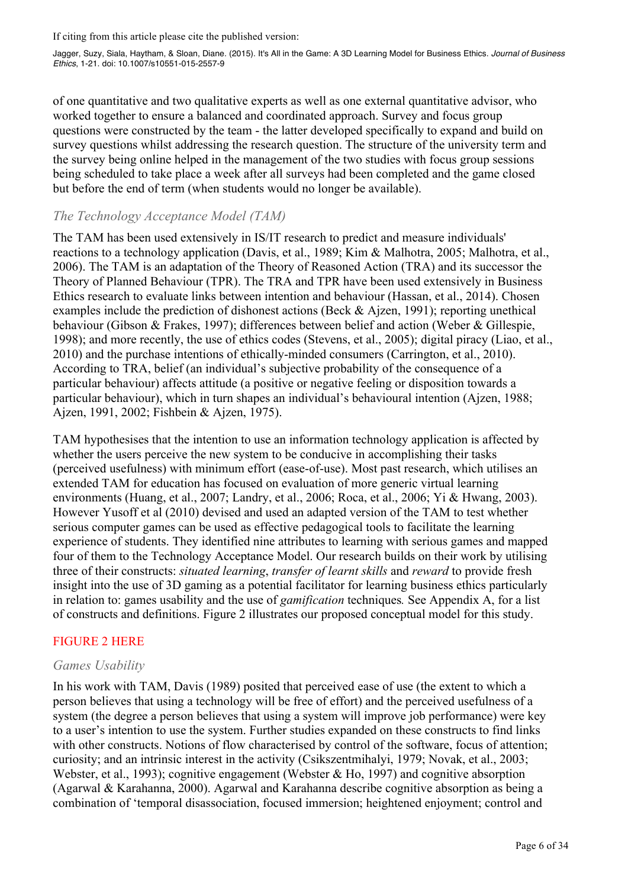Jagger, Suzy, Siala, Haytham, & Sloan, Diane. (2015). It's All in the Game: A 3D Learning Model for Business Ethics. Journal of Business Ethics, 1-21. doi: 10.1007/s10551-015-2557-9

of one quantitative and two qualitative experts as well as one external quantitative advisor, who worked together to ensure a balanced and coordinated approach. Survey and focus group questions were constructed by the team - the latter developed specifically to expand and build on survey questions whilst addressing the research question. The structure of the university term and the survey being online helped in the management of the two studies with focus group sessions being scheduled to take place a week after all surveys had been completed and the game closed but before the end of term (when students would no longer be available).

## *The Technology Acceptance Model (TAM)*

The TAM has been used extensively in IS/IT research to predict and measure individuals' reactions to a technology application (Davis, et al., 1989; Kim & Malhotra, 2005; Malhotra, et al., 2006). The TAM is an adaptation of the Theory of Reasoned Action (TRA) and its successor the Theory of Planned Behaviour (TPR). The TRA and TPR have been used extensively in Business Ethics research to evaluate links between intention and behaviour (Hassan, et al., 2014). Chosen examples include the prediction of dishonest actions (Beck & Ajzen, 1991); reporting unethical behaviour (Gibson & Frakes, 1997); differences between belief and action (Weber & Gillespie, 1998); and more recently, the use of ethics codes (Stevens, et al., 2005); digital piracy (Liao, et al., 2010) and the purchase intentions of ethically-minded consumers (Carrington, et al., 2010). According to TRA, belief (an individual's subjective probability of the consequence of a particular behaviour) affects attitude (a positive or negative feeling or disposition towards a particular behaviour), which in turn shapes an individual's behavioural intention (Ajzen, 1988; Ajzen, 1991, 2002; Fishbein & Ajzen, 1975).

TAM hypothesises that the intention to use an information technology application is affected by whether the users perceive the new system to be conducive in accomplishing their tasks (perceived usefulness) with minimum effort (ease-of-use). Most past research, which utilises an extended TAM for education has focused on evaluation of more generic virtual learning environments (Huang, et al., 2007; Landry, et al., 2006; Roca, et al., 2006; Yi & Hwang, 2003). However Yusoff et al (2010) devised and used an adapted version of the TAM to test whether serious computer games can be used as effective pedagogical tools to facilitate the learning experience of students. They identified nine attributes to learning with serious games and mapped four of them to the Technology Acceptance Model. Our research builds on their work by utilising three of their constructs: *situated learning*, *transfer of learnt skills* and *reward* to provide fresh insight into the use of 3D gaming as a potential facilitator for learning business ethics particularly in relation to: games usability and the use of *gamification* techniques*.* See Appendix A, for a list of constructs and definitions. Figure 2 illustrates our proposed conceptual model for this study.

#### FIGURE 2 HERE

#### *Games Usability*

In his work with TAM, Davis (1989) posited that perceived ease of use (the extent to which a person believes that using a technology will be free of effort) and the perceived usefulness of a system (the degree a person believes that using a system will improve job performance) were key to a user's intention to use the system. Further studies expanded on these constructs to find links with other constructs. Notions of flow characterised by control of the software, focus of attention; curiosity; and an intrinsic interest in the activity (Csikszentmihalyi, 1979; Novak, et al., 2003; Webster, et al., 1993); cognitive engagement (Webster & Ho, 1997) and cognitive absorption (Agarwal & Karahanna, 2000). Agarwal and Karahanna describe cognitive absorption as being a combination of 'temporal disassociation, focused immersion; heightened enjoyment; control and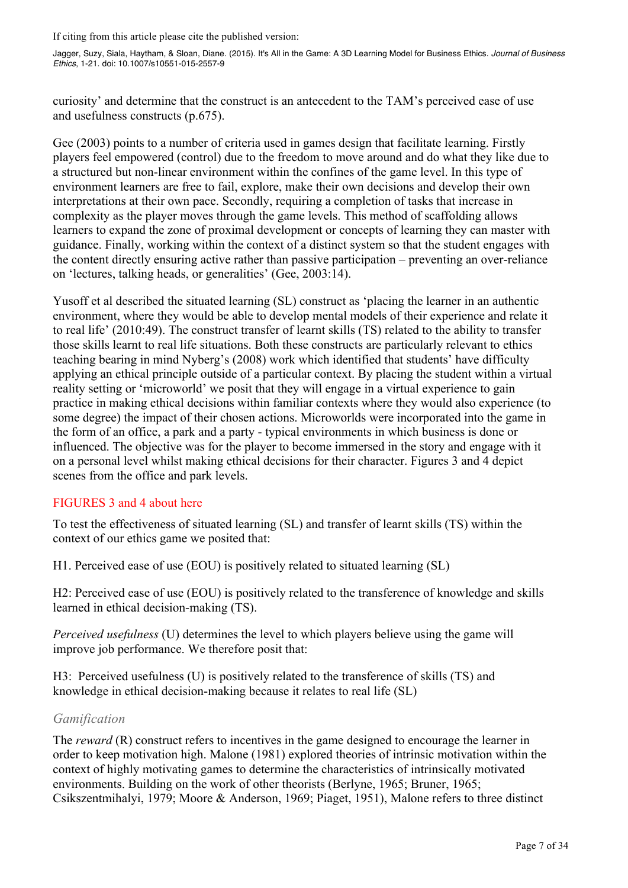Jagger, Suzy, Siala, Haytham, & Sloan, Diane. (2015). It's All in the Game: A 3D Learning Model for Business Ethics. Journal of Business Ethics, 1-21. doi: 10.1007/s10551-015-2557-9

curiosity' and determine that the construct is an antecedent to the TAM's perceived ease of use and usefulness constructs (p.675).

Gee (2003) points to a number of criteria used in games design that facilitate learning. Firstly players feel empowered (control) due to the freedom to move around and do what they like due to a structured but non-linear environment within the confines of the game level. In this type of environment learners are free to fail, explore, make their own decisions and develop their own interpretations at their own pace. Secondly, requiring a completion of tasks that increase in complexity as the player moves through the game levels. This method of scaffolding allows learners to expand the zone of proximal development or concepts of learning they can master with guidance. Finally, working within the context of a distinct system so that the student engages with the content directly ensuring active rather than passive participation – preventing an over-reliance on 'lectures, talking heads, or generalities' (Gee, 2003:14).

Yusoff et al described the situated learning (SL) construct as 'placing the learner in an authentic environment, where they would be able to develop mental models of their experience and relate it to real life' (2010:49). The construct transfer of learnt skills (TS) related to the ability to transfer those skills learnt to real life situations. Both these constructs are particularly relevant to ethics teaching bearing in mind Nyberg's (2008) work which identified that students' have difficulty applying an ethical principle outside of a particular context. By placing the student within a virtual reality setting or 'microworld' we posit that they will engage in a virtual experience to gain practice in making ethical decisions within familiar contexts where they would also experience (to some degree) the impact of their chosen actions. Microworlds were incorporated into the game in the form of an office, a park and a party - typical environments in which business is done or influenced. The objective was for the player to become immersed in the story and engage with it on a personal level whilst making ethical decisions for their character. Figures 3 and 4 depict scenes from the office and park levels.

#### FIGURES 3 and 4 about here

To test the effectiveness of situated learning (SL) and transfer of learnt skills (TS) within the context of our ethics game we posited that:

H1. Perceived ease of use (EOU) is positively related to situated learning (SL)

H2: Perceived ease of use (EOU) is positively related to the transference of knowledge and skills learned in ethical decision-making (TS).

*Perceived usefulness* (U) determines the level to which players believe using the game will improve job performance. We therefore posit that:

H3: Perceived usefulness (U) is positively related to the transference of skills (TS) and knowledge in ethical decision-making because it relates to real life (SL)

#### *Gamification*

The *reward* (R) construct refers to incentives in the game designed to encourage the learner in order to keep motivation high. Malone (1981) explored theories of intrinsic motivation within the context of highly motivating games to determine the characteristics of intrinsically motivated environments. Building on the work of other theorists (Berlyne, 1965; Bruner, 1965; Csikszentmihalyi, 1979; Moore & Anderson, 1969; Piaget, 1951), Malone refers to three distinct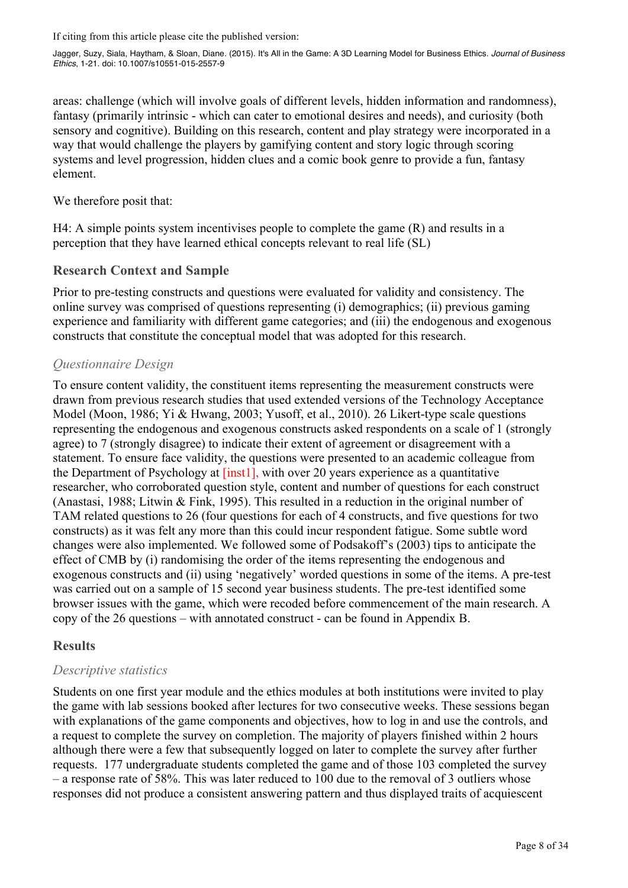Jagger, Suzy, Siala, Haytham, & Sloan, Diane. (2015). It's All in the Game: A 3D Learning Model for Business Ethics. Journal of Business Ethics, 1-21. doi: 10.1007/s10551-015-2557-9

areas: challenge (which will involve goals of different levels, hidden information and randomness), fantasy (primarily intrinsic - which can cater to emotional desires and needs), and curiosity (both sensory and cognitive). Building on this research, content and play strategy were incorporated in a way that would challenge the players by gamifying content and story logic through scoring systems and level progression, hidden clues and a comic book genre to provide a fun, fantasy element.

We therefore posit that:

H4: A simple points system incentivises people to complete the game (R) and results in a perception that they have learned ethical concepts relevant to real life (SL)

#### **Research Context and Sample**

Prior to pre-testing constructs and questions were evaluated for validity and consistency. The online survey was comprised of questions representing (i) demographics; (ii) previous gaming experience and familiarity with different game categories; and (iii) the endogenous and exogenous constructs that constitute the conceptual model that was adopted for this research.

## *Questionnaire Design*

To ensure content validity, the constituent items representing the measurement constructs were drawn from previous research studies that used extended versions of the Technology Acceptance Model (Moon, 1986; Yi & Hwang, 2003; Yusoff, et al., 2010). 26 Likert-type scale questions representing the endogenous and exogenous constructs asked respondents on a scale of 1 (strongly agree) to 7 (strongly disagree) to indicate their extent of agreement or disagreement with a statement. To ensure face validity, the questions were presented to an academic colleague from the Department of Psychology at [inst1], with over 20 years experience as a quantitative researcher, who corroborated question style, content and number of questions for each construct (Anastasi, 1988; Litwin & Fink, 1995). This resulted in a reduction in the original number of TAM related questions to 26 (four questions for each of 4 constructs, and five questions for two constructs) as it was felt any more than this could incur respondent fatigue. Some subtle word changes were also implemented. We followed some of Podsakoff's (2003) tips to anticipate the effect of CMB by (i) randomising the order of the items representing the endogenous and exogenous constructs and (ii) using 'negatively' worded questions in some of the items. A pre-test was carried out on a sample of 15 second year business students. The pre-test identified some browser issues with the game, which were recoded before commencement of the main research. A copy of the 26 questions – with annotated construct - can be found in Appendix B.

#### **Results**

#### *Descriptive statistics*

Students on one first year module and the ethics modules at both institutions were invited to play the game with lab sessions booked after lectures for two consecutive weeks. These sessions began with explanations of the game components and objectives, how to log in and use the controls, and a request to complete the survey on completion. The majority of players finished within 2 hours although there were a few that subsequently logged on later to complete the survey after further requests. 177 undergraduate students completed the game and of those 103 completed the survey – a response rate of 58%. This was later reduced to 100 due to the removal of 3 outliers whose responses did not produce a consistent answering pattern and thus displayed traits of acquiescent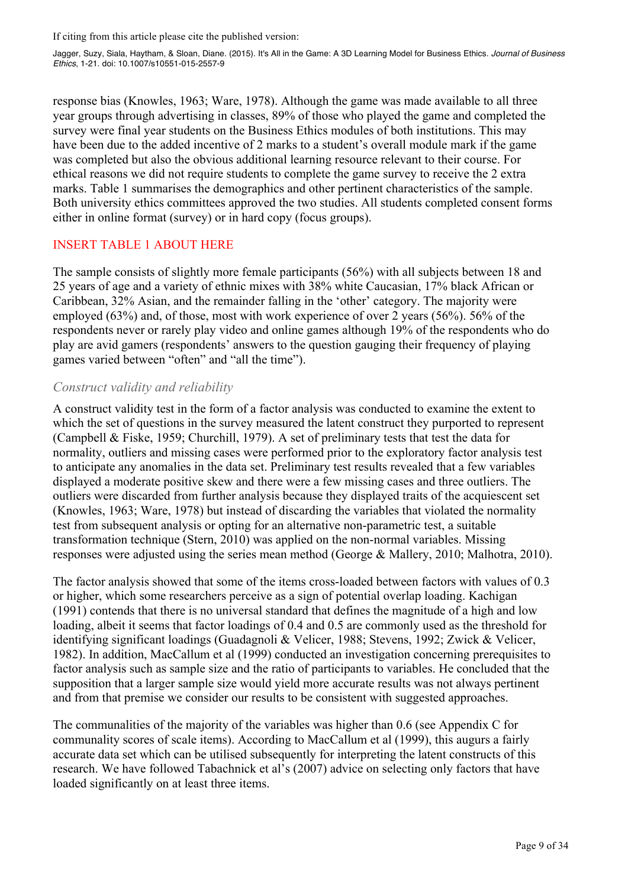Jagger, Suzy, Siala, Haytham, & Sloan, Diane. (2015). It's All in the Game: A 3D Learning Model for Business Ethics. Journal of Business Ethics, 1-21. doi: 10.1007/s10551-015-2557-9

response bias (Knowles, 1963; Ware, 1978). Although the game was made available to all three year groups through advertising in classes, 89% of those who played the game and completed the survey were final year students on the Business Ethics modules of both institutions. This may have been due to the added incentive of 2 marks to a student's overall module mark if the game was completed but also the obvious additional learning resource relevant to their course. For ethical reasons we did not require students to complete the game survey to receive the 2 extra marks. Table 1 summarises the demographics and other pertinent characteristics of the sample. Both university ethics committees approved the two studies. All students completed consent forms either in online format (survey) or in hard copy (focus groups).

#### INSERT TABLE 1 ABOUT HERE

The sample consists of slightly more female participants (56%) with all subjects between 18 and 25 years of age and a variety of ethnic mixes with 38% white Caucasian, 17% black African or Caribbean, 32% Asian, and the remainder falling in the 'other' category. The majority were employed (63%) and, of those, most with work experience of over 2 years (56%). 56% of the respondents never or rarely play video and online games although 19% of the respondents who do play are avid gamers (respondents' answers to the question gauging their frequency of playing games varied between "often" and "all the time").

## *Construct validity and reliability*

A construct validity test in the form of a factor analysis was conducted to examine the extent to which the set of questions in the survey measured the latent construct they purported to represent (Campbell & Fiske, 1959; Churchill, 1979). A set of preliminary tests that test the data for normality, outliers and missing cases were performed prior to the exploratory factor analysis test to anticipate any anomalies in the data set. Preliminary test results revealed that a few variables displayed a moderate positive skew and there were a few missing cases and three outliers. The outliers were discarded from further analysis because they displayed traits of the acquiescent set (Knowles, 1963; Ware, 1978) but instead of discarding the variables that violated the normality test from subsequent analysis or opting for an alternative non-parametric test, a suitable transformation technique (Stern, 2010) was applied on the non-normal variables. Missing responses were adjusted using the series mean method (George & Mallery, 2010; Malhotra, 2010).

The factor analysis showed that some of the items cross-loaded between factors with values of 0.3 or higher, which some researchers perceive as a sign of potential overlap loading. Kachigan (1991) contends that there is no universal standard that defines the magnitude of a high and low loading, albeit it seems that factor loadings of 0.4 and 0.5 are commonly used as the threshold for identifying significant loadings (Guadagnoli & Velicer, 1988; Stevens, 1992; Zwick & Velicer, 1982). In addition, MacCallum et al (1999) conducted an investigation concerning prerequisites to factor analysis such as sample size and the ratio of participants to variables. He concluded that the supposition that a larger sample size would yield more accurate results was not always pertinent and from that premise we consider our results to be consistent with suggested approaches.

The communalities of the majority of the variables was higher than 0.6 (see Appendix C for communality scores of scale items). According to MacCallum et al (1999), this augurs a fairly accurate data set which can be utilised subsequently for interpreting the latent constructs of this research. We have followed Tabachnick et al's (2007) advice on selecting only factors that have loaded significantly on at least three items.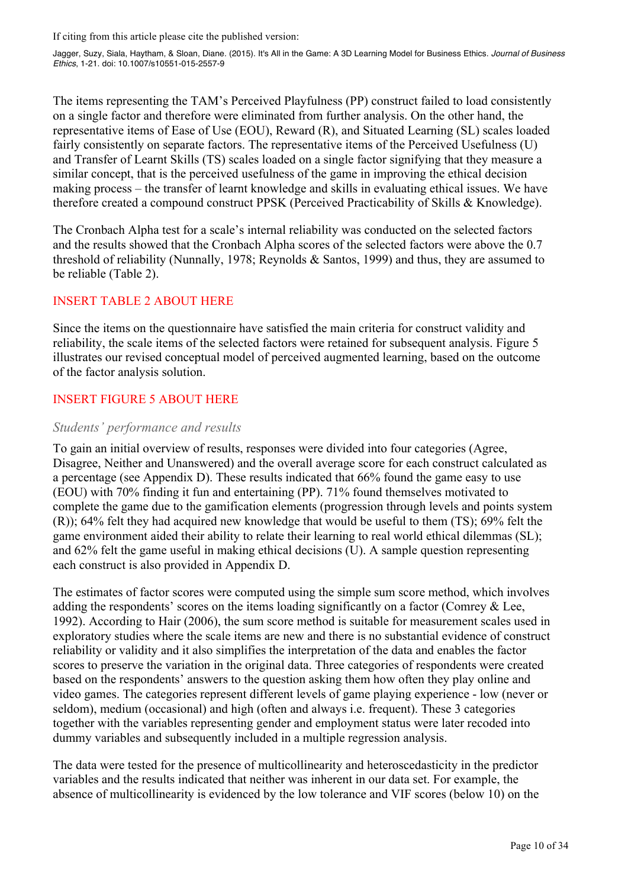Jagger, Suzy, Siala, Haytham, & Sloan, Diane. (2015). It's All in the Game: A 3D Learning Model for Business Ethics. Journal of Business Ethics, 1-21. doi: 10.1007/s10551-015-2557-9

The items representing the TAM's Perceived Playfulness (PP) construct failed to load consistently on a single factor and therefore were eliminated from further analysis. On the other hand, the representative items of Ease of Use (EOU), Reward (R), and Situated Learning (SL) scales loaded fairly consistently on separate factors. The representative items of the Perceived Usefulness (U) and Transfer of Learnt Skills (TS) scales loaded on a single factor signifying that they measure a similar concept, that is the perceived usefulness of the game in improving the ethical decision making process – the transfer of learnt knowledge and skills in evaluating ethical issues. We have therefore created a compound construct PPSK (Perceived Practicability of Skills & Knowledge).

The Cronbach Alpha test for a scale's internal reliability was conducted on the selected factors and the results showed that the Cronbach Alpha scores of the selected factors were above the 0.7 threshold of reliability (Nunnally, 1978; Reynolds & Santos, 1999) and thus, they are assumed to be reliable (Table 2).

#### INSERT TABLE 2 ABOUT HERE

Since the items on the questionnaire have satisfied the main criteria for construct validity and reliability, the scale items of the selected factors were retained for subsequent analysis. Figure 5 illustrates our revised conceptual model of perceived augmented learning, based on the outcome of the factor analysis solution.

#### INSERT FIGURE 5 ABOUT HERE

#### *Students' performance and results*

To gain an initial overview of results, responses were divided into four categories (Agree, Disagree, Neither and Unanswered) and the overall average score for each construct calculated as a percentage (see Appendix D). These results indicated that 66% found the game easy to use (EOU) with 70% finding it fun and entertaining (PP). 71% found themselves motivated to complete the game due to the gamification elements (progression through levels and points system (R)); 64% felt they had acquired new knowledge that would be useful to them (TS); 69% felt the game environment aided their ability to relate their learning to real world ethical dilemmas (SL); and 62% felt the game useful in making ethical decisions (U). A sample question representing each construct is also provided in Appendix D.

The estimates of factor scores were computed using the simple sum score method, which involves adding the respondents' scores on the items loading significantly on a factor (Comrey & Lee, 1992). According to Hair (2006), the sum score method is suitable for measurement scales used in exploratory studies where the scale items are new and there is no substantial evidence of construct reliability or validity and it also simplifies the interpretation of the data and enables the factor scores to preserve the variation in the original data. Three categories of respondents were created based on the respondents' answers to the question asking them how often they play online and video games. The categories represent different levels of game playing experience - low (never or seldom), medium (occasional) and high (often and always i.e. frequent). These 3 categories together with the variables representing gender and employment status were later recoded into dummy variables and subsequently included in a multiple regression analysis.

The data were tested for the presence of multicollinearity and heteroscedasticity in the predictor variables and the results indicated that neither was inherent in our data set. For example, the absence of multicollinearity is evidenced by the low tolerance and VIF scores (below 10) on the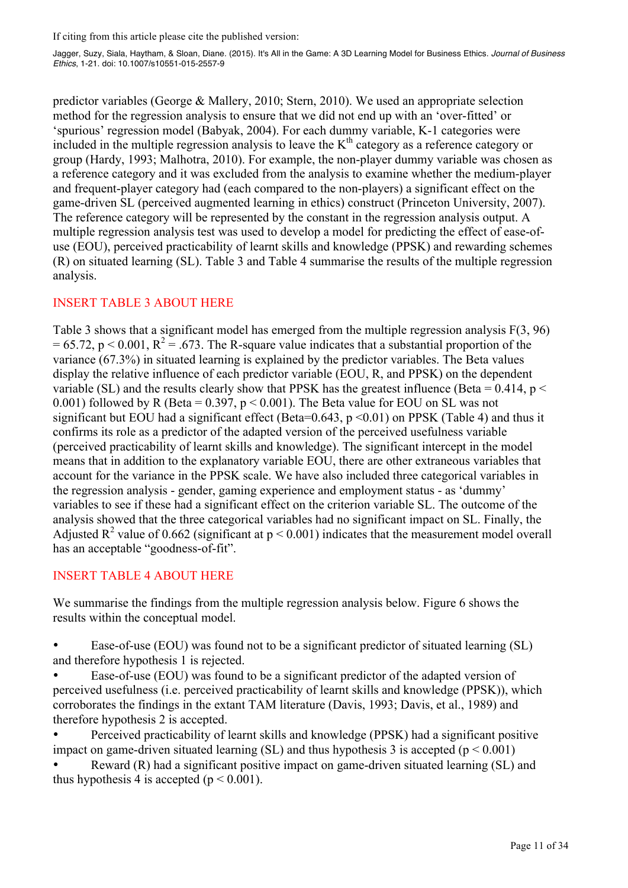Jagger, Suzy, Siala, Haytham, & Sloan, Diane. (2015). It's All in the Game: A 3D Learning Model for Business Ethics. Journal of Business Ethics, 1-21. doi: 10.1007/s10551-015-2557-9

predictor variables (George & Mallery, 2010; Stern, 2010). We used an appropriate selection method for the regression analysis to ensure that we did not end up with an 'over-fitted' or 'spurious' regression model (Babyak, 2004). For each dummy variable, K-1 categories were included in the multiple regression analysis to leave the  $K<sup>th</sup>$  category as a reference category or group (Hardy, 1993; Malhotra, 2010). For example, the non-player dummy variable was chosen as a reference category and it was excluded from the analysis to examine whether the medium-player and frequent-player category had (each compared to the non-players) a significant effect on the game-driven SL (perceived augmented learning in ethics) construct (Princeton University, 2007). The reference category will be represented by the constant in the regression analysis output. A multiple regression analysis test was used to develop a model for predicting the effect of ease-ofuse (EOU), perceived practicability of learnt skills and knowledge (PPSK) and rewarding schemes (R) on situated learning (SL). Table 3 and Table 4 summarise the results of the multiple regression analysis.

#### INSERT TABLE 3 ABOUT HERE

Table 3 shows that a significant model has emerged from the multiple regression analysis F(3, 96)  $= 65.72$ , p < 0.001, R<sup>2</sup> = .673. The R-square value indicates that a substantial proportion of the variance (67.3%) in situated learning is explained by the predictor variables. The Beta values display the relative influence of each predictor variable (EOU, R, and PPSK) on the dependent variable (SL) and the results clearly show that PPSK has the greatest influence (Beta =  $0.414$ , p  $\leq$ 0.001) followed by R (Beta =  $0.397$ ,  $p < 0.001$ ). The Beta value for EOU on SL was not significant but EOU had a significant effect (Beta=0.643,  $p \le 0.01$ ) on PPSK (Table 4) and thus it confirms its role as a predictor of the adapted version of the perceived usefulness variable (perceived practicability of learnt skills and knowledge). The significant intercept in the model means that in addition to the explanatory variable EOU, there are other extraneous variables that account for the variance in the PPSK scale. We have also included three categorical variables in the regression analysis - gender, gaming experience and employment status - as 'dummy' variables to see if these had a significant effect on the criterion variable SL. The outcome of the analysis showed that the three categorical variables had no significant impact on SL. Finally, the Adjusted R<sup>2</sup> value of 0.662 (significant at  $p < 0.001$ ) indicates that the measurement model overall has an acceptable "goodness-of-fit".

#### INSERT TABLE 4 ABOUT HERE

We summarise the findings from the multiple regression analysis below. Figure 6 shows the results within the conceptual model.

• Ease-of-use (EOU) was found not to be a significant predictor of situated learning (SL) and therefore hypothesis 1 is rejected.

- Ease-of-use (EOU) was found to be a significant predictor of the adapted version of perceived usefulness (i.e. perceived practicability of learnt skills and knowledge (PPSK)), which corroborates the findings in the extant TAM literature (Davis, 1993; Davis, et al., 1989) and therefore hypothesis 2 is accepted.
- Perceived practicability of learnt skills and knowledge (PPSK) had a significant positive impact on game-driven situated learning (SL) and thus hypothesis 3 is accepted ( $p < 0.001$ )
- Reward (R) had a significant positive impact on game-driven situated learning (SL) and thus hypothesis 4 is accepted ( $p < 0.001$ ).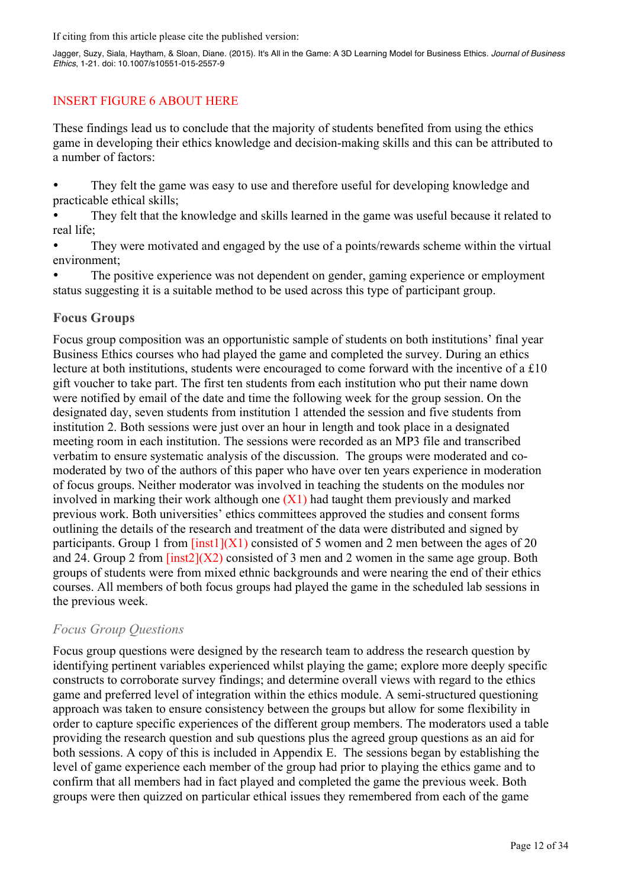Jagger, Suzy, Siala, Haytham, & Sloan, Diane. (2015). It's All in the Game: A 3D Learning Model for Business Ethics. Journal of Business Ethics, 1-21. doi: 10.1007/s10551-015-2557-9

#### INSERT FIGURE 6 ABOUT HERE

These findings lead us to conclude that the majority of students benefited from using the ethics game in developing their ethics knowledge and decision-making skills and this can be attributed to a number of factors:

• They felt the game was easy to use and therefore useful for developing knowledge and practicable ethical skills;

They felt that the knowledge and skills learned in the game was useful because it related to real life;

They were motivated and engaged by the use of a points/rewards scheme within the virtual environment;

The positive experience was not dependent on gender, gaming experience or employment status suggesting it is a suitable method to be used across this type of participant group.

#### **Focus Groups**

Focus group composition was an opportunistic sample of students on both institutions' final year Business Ethics courses who had played the game and completed the survey. During an ethics lecture at both institutions, students were encouraged to come forward with the incentive of a £10 gift voucher to take part. The first ten students from each institution who put their name down were notified by email of the date and time the following week for the group session. On the designated day, seven students from institution 1 attended the session and five students from institution 2. Both sessions were just over an hour in length and took place in a designated meeting room in each institution. The sessions were recorded as an MP3 file and transcribed verbatim to ensure systematic analysis of the discussion. The groups were moderated and comoderated by two of the authors of this paper who have over ten years experience in moderation of focus groups. Neither moderator was involved in teaching the students on the modules nor involved in marking their work although one  $(X1)$  had taught them previously and marked previous work. Both universities' ethics committees approved the studies and consent forms outlining the details of the research and treatment of the data were distributed and signed by participants. Group 1 from  $\frac{\sin(1)(X1)}{\cos(1)}$  consisted of 5 women and 2 men between the ages of 20 and 24. Group 2 from  $\frac{\ln(1)}{2}(X^2)$  consisted of 3 men and 2 women in the same age group. Both groups of students were from mixed ethnic backgrounds and were nearing the end of their ethics courses. All members of both focus groups had played the game in the scheduled lab sessions in the previous week.

#### *Focus Group Questions*

Focus group questions were designed by the research team to address the research question by identifying pertinent variables experienced whilst playing the game; explore more deeply specific constructs to corroborate survey findings; and determine overall views with regard to the ethics game and preferred level of integration within the ethics module. A semi-structured questioning approach was taken to ensure consistency between the groups but allow for some flexibility in order to capture specific experiences of the different group members. The moderators used a table providing the research question and sub questions plus the agreed group questions as an aid for both sessions. A copy of this is included in Appendix E. The sessions began by establishing the level of game experience each member of the group had prior to playing the ethics game and to confirm that all members had in fact played and completed the game the previous week. Both groups were then quizzed on particular ethical issues they remembered from each of the game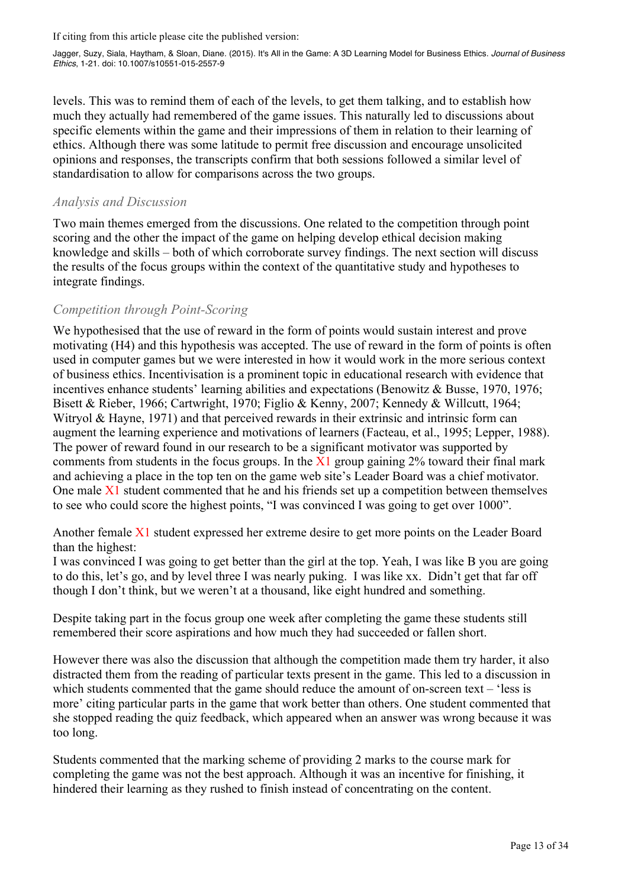Jagger, Suzy, Siala, Haytham, & Sloan, Diane. (2015). It's All in the Game: A 3D Learning Model for Business Ethics. Journal of Business Ethics, 1-21. doi: 10.1007/s10551-015-2557-9

levels. This was to remind them of each of the levels, to get them talking, and to establish how much they actually had remembered of the game issues. This naturally led to discussions about specific elements within the game and their impressions of them in relation to their learning of ethics. Although there was some latitude to permit free discussion and encourage unsolicited opinions and responses, the transcripts confirm that both sessions followed a similar level of standardisation to allow for comparisons across the two groups.

#### *Analysis and Discussion*

Two main themes emerged from the discussions. One related to the competition through point scoring and the other the impact of the game on helping develop ethical decision making knowledge and skills – both of which corroborate survey findings. The next section will discuss the results of the focus groups within the context of the quantitative study and hypotheses to integrate findings.

#### *Competition through Point-Scoring*

We hypothesised that the use of reward in the form of points would sustain interest and prove motivating (H4) and this hypothesis was accepted. The use of reward in the form of points is often used in computer games but we were interested in how it would work in the more serious context of business ethics. Incentivisation is a prominent topic in educational research with evidence that incentives enhance students' learning abilities and expectations (Benowitz & Busse, 1970, 1976; Bisett & Rieber, 1966; Cartwright, 1970; Figlio & Kenny, 2007; Kennedy & Willcutt, 1964; Witryol & Hayne, 1971) and that perceived rewards in their extrinsic and intrinsic form can augment the learning experience and motivations of learners (Facteau, et al., 1995; Lepper, 1988). The power of reward found in our research to be a significant motivator was supported by comments from students in the focus groups. In the  $X1$  group gaining 2% toward their final mark and achieving a place in the top ten on the game web site's Leader Board was a chief motivator. One male X1 student commented that he and his friends set up a competition between themselves to see who could score the highest points, "I was convinced I was going to get over 1000".

Another female X1 student expressed her extreme desire to get more points on the Leader Board than the highest:

I was convinced I was going to get better than the girl at the top. Yeah, I was like B you are going to do this, let's go, and by level three I was nearly puking. I was like xx. Didn't get that far off though I don't think, but we weren't at a thousand, like eight hundred and something.

Despite taking part in the focus group one week after completing the game these students still remembered their score aspirations and how much they had succeeded or fallen short.

However there was also the discussion that although the competition made them try harder, it also distracted them from the reading of particular texts present in the game. This led to a discussion in which students commented that the game should reduce the amount of on-screen text – 'less is more' citing particular parts in the game that work better than others. One student commented that she stopped reading the quiz feedback, which appeared when an answer was wrong because it was too long.

Students commented that the marking scheme of providing 2 marks to the course mark for completing the game was not the best approach. Although it was an incentive for finishing, it hindered their learning as they rushed to finish instead of concentrating on the content.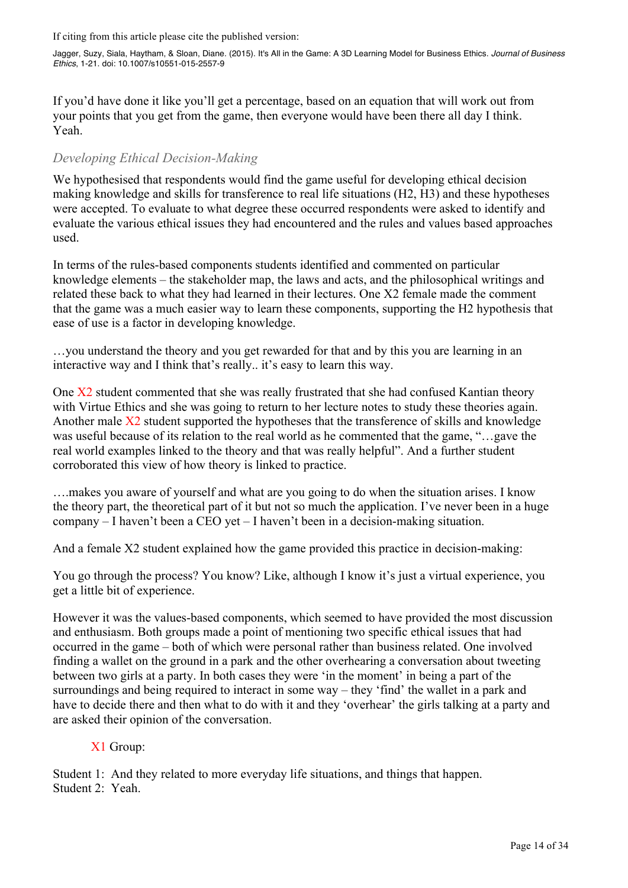Jagger, Suzy, Siala, Haytham, & Sloan, Diane. (2015). It's All in the Game: A 3D Learning Model for Business Ethics. Journal of Business Ethics, 1-21. doi: 10.1007/s10551-015-2557-9

If you'd have done it like you'll get a percentage, based on an equation that will work out from your points that you get from the game, then everyone would have been there all day I think. Yeah.

## *Developing Ethical Decision-Making*

We hypothesised that respondents would find the game useful for developing ethical decision making knowledge and skills for transference to real life situations (H2, H3) and these hypotheses were accepted. To evaluate to what degree these occurred respondents were asked to identify and evaluate the various ethical issues they had encountered and the rules and values based approaches used.

In terms of the rules-based components students identified and commented on particular knowledge elements – the stakeholder map, the laws and acts, and the philosophical writings and related these back to what they had learned in their lectures. One X2 female made the comment that the game was a much easier way to learn these components, supporting the H2 hypothesis that ease of use is a factor in developing knowledge.

…you understand the theory and you get rewarded for that and by this you are learning in an interactive way and I think that's really.. it's easy to learn this way.

One X2 student commented that she was really frustrated that she had confused Kantian theory with Virtue Ethics and she was going to return to her lecture notes to study these theories again. Another male X2 student supported the hypotheses that the transference of skills and knowledge was useful because of its relation to the real world as he commented that the game, "…gave the real world examples linked to the theory and that was really helpful". And a further student corroborated this view of how theory is linked to practice.

….makes you aware of yourself and what are you going to do when the situation arises. I know the theory part, the theoretical part of it but not so much the application. I've never been in a huge company – I haven't been a CEO yet – I haven't been in a decision-making situation.

And a female X2 student explained how the game provided this practice in decision-making:

You go through the process? You know? Like, although I know it's just a virtual experience, you get a little bit of experience.

However it was the values-based components, which seemed to have provided the most discussion and enthusiasm. Both groups made a point of mentioning two specific ethical issues that had occurred in the game – both of which were personal rather than business related. One involved finding a wallet on the ground in a park and the other overhearing a conversation about tweeting between two girls at a party. In both cases they were 'in the moment' in being a part of the surroundings and being required to interact in some way – they 'find' the wallet in a park and have to decide there and then what to do with it and they 'overhear' the girls talking at a party and are asked their opinion of the conversation.

#### X1 Group:

Student 1: And they related to more everyday life situations, and things that happen. Student 2: Yeah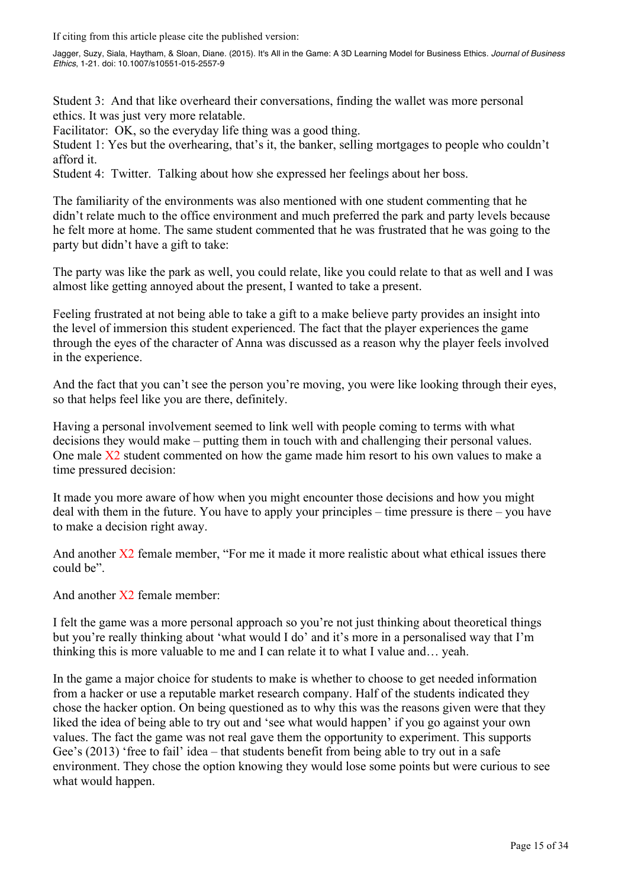Jagger, Suzy, Siala, Haytham, & Sloan, Diane. (2015). It's All in the Game: A 3D Learning Model for Business Ethics. Journal of Business Ethics, 1-21. doi: 10.1007/s10551-015-2557-9

Student 3: And that like overheard their conversations, finding the wallet was more personal ethics. It was just very more relatable.

Facilitator: OK, so the everyday life thing was a good thing.

Student 1: Yes but the overhearing, that's it, the banker, selling mortgages to people who couldn't afford it.

Student 4: Twitter. Talking about how she expressed her feelings about her boss.

The familiarity of the environments was also mentioned with one student commenting that he didn't relate much to the office environment and much preferred the park and party levels because he felt more at home. The same student commented that he was frustrated that he was going to the party but didn't have a gift to take:

The party was like the park as well, you could relate, like you could relate to that as well and I was almost like getting annoyed about the present, I wanted to take a present.

Feeling frustrated at not being able to take a gift to a make believe party provides an insight into the level of immersion this student experienced. The fact that the player experiences the game through the eyes of the character of Anna was discussed as a reason why the player feels involved in the experience.

And the fact that you can't see the person you're moving, you were like looking through their eyes, so that helps feel like you are there, definitely.

Having a personal involvement seemed to link well with people coming to terms with what decisions they would make – putting them in touch with and challenging their personal values. One male X2 student commented on how the game made him resort to his own values to make a time pressured decision:

It made you more aware of how when you might encounter those decisions and how you might deal with them in the future. You have to apply your principles – time pressure is there – you have to make a decision right away.

And another X2 female member, "For me it made it more realistic about what ethical issues there could be".

And another X2 female member:

I felt the game was a more personal approach so you're not just thinking about theoretical things but you're really thinking about 'what would I do' and it's more in a personalised way that I'm thinking this is more valuable to me and I can relate it to what I value and… yeah.

In the game a major choice for students to make is whether to choose to get needed information from a hacker or use a reputable market research company. Half of the students indicated they chose the hacker option. On being questioned as to why this was the reasons given were that they liked the idea of being able to try out and 'see what would happen' if you go against your own values. The fact the game was not real gave them the opportunity to experiment. This supports Gee's (2013) 'free to fail' idea – that students benefit from being able to try out in a safe environment. They chose the option knowing they would lose some points but were curious to see what would happen.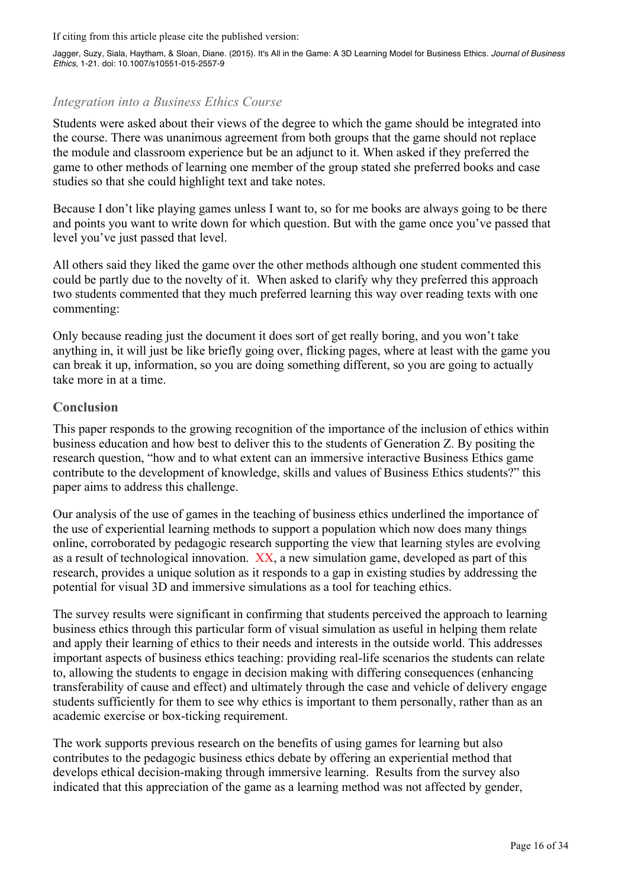Jagger, Suzy, Siala, Haytham, & Sloan, Diane. (2015). It's All in the Game: A 3D Learning Model for Business Ethics. Journal of Business Ethics, 1-21. doi: 10.1007/s10551-015-2557-9

#### *Integration into a Business Ethics Course*

Students were asked about their views of the degree to which the game should be integrated into the course. There was unanimous agreement from both groups that the game should not replace the module and classroom experience but be an adjunct to it. When asked if they preferred the game to other methods of learning one member of the group stated she preferred books and case studies so that she could highlight text and take notes.

Because I don't like playing games unless I want to, so for me books are always going to be there and points you want to write down for which question. But with the game once you've passed that level you've just passed that level.

All others said they liked the game over the other methods although one student commented this could be partly due to the novelty of it. When asked to clarify why they preferred this approach two students commented that they much preferred learning this way over reading texts with one commenting:

Only because reading just the document it does sort of get really boring, and you won't take anything in, it will just be like briefly going over, flicking pages, where at least with the game you can break it up, information, so you are doing something different, so you are going to actually take more in at a time.

#### **Conclusion**

This paper responds to the growing recognition of the importance of the inclusion of ethics within business education and how best to deliver this to the students of Generation Z. By positing the research question, "how and to what extent can an immersive interactive Business Ethics game contribute to the development of knowledge, skills and values of Business Ethics students?" this paper aims to address this challenge.

Our analysis of the use of games in the teaching of business ethics underlined the importance of the use of experiential learning methods to support a population which now does many things online, corroborated by pedagogic research supporting the view that learning styles are evolving as a result of technological innovation. XX, a new simulation game, developed as part of this research, provides a unique solution as it responds to a gap in existing studies by addressing the potential for visual 3D and immersive simulations as a tool for teaching ethics.

The survey results were significant in confirming that students perceived the approach to learning business ethics through this particular form of visual simulation as useful in helping them relate and apply their learning of ethics to their needs and interests in the outside world. This addresses important aspects of business ethics teaching: providing real-life scenarios the students can relate to, allowing the students to engage in decision making with differing consequences (enhancing transferability of cause and effect) and ultimately through the case and vehicle of delivery engage students sufficiently for them to see why ethics is important to them personally, rather than as an academic exercise or box-ticking requirement.

The work supports previous research on the benefits of using games for learning but also contributes to the pedagogic business ethics debate by offering an experiential method that develops ethical decision-making through immersive learning. Results from the survey also indicated that this appreciation of the game as a learning method was not affected by gender,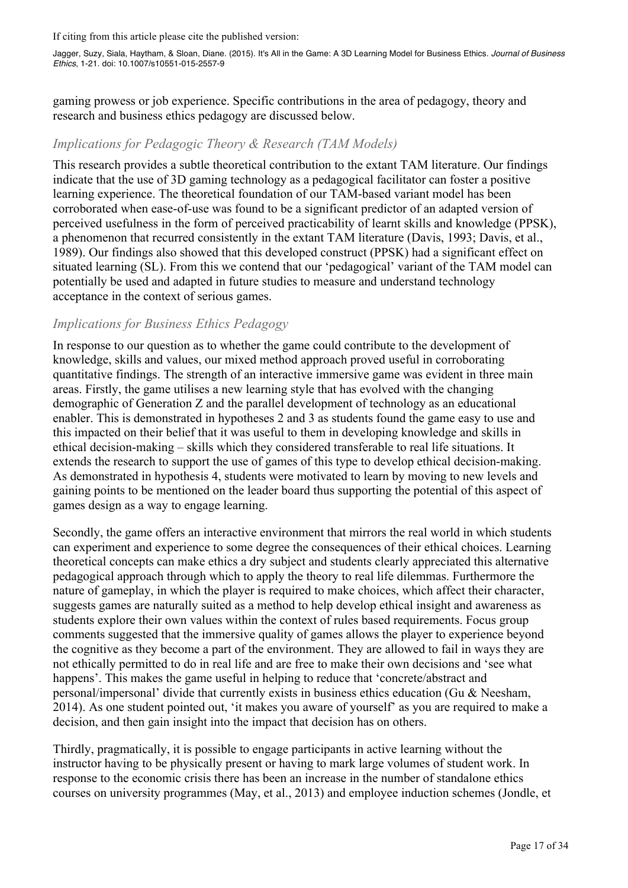Jagger, Suzy, Siala, Haytham, & Sloan, Diane. (2015). It's All in the Game: A 3D Learning Model for Business Ethics. Journal of Business Ethics, 1-21. doi: 10.1007/s10551-015-2557-9

gaming prowess or job experience. Specific contributions in the area of pedagogy, theory and research and business ethics pedagogy are discussed below.

#### *Implications for Pedagogic Theory & Research (TAM Models)*

This research provides a subtle theoretical contribution to the extant TAM literature. Our findings indicate that the use of 3D gaming technology as a pedagogical facilitator can foster a positive learning experience. The theoretical foundation of our TAM-based variant model has been corroborated when ease-of-use was found to be a significant predictor of an adapted version of perceived usefulness in the form of perceived practicability of learnt skills and knowledge (PPSK), a phenomenon that recurred consistently in the extant TAM literature (Davis, 1993; Davis, et al., 1989). Our findings also showed that this developed construct (PPSK) had a significant effect on situated learning (SL). From this we contend that our 'pedagogical' variant of the TAM model can potentially be used and adapted in future studies to measure and understand technology acceptance in the context of serious games.

#### *Implications for Business Ethics Pedagogy*

In response to our question as to whether the game could contribute to the development of knowledge, skills and values, our mixed method approach proved useful in corroborating quantitative findings. The strength of an interactive immersive game was evident in three main areas. Firstly, the game utilises a new learning style that has evolved with the changing demographic of Generation Z and the parallel development of technology as an educational enabler. This is demonstrated in hypotheses 2 and 3 as students found the game easy to use and this impacted on their belief that it was useful to them in developing knowledge and skills in ethical decision-making – skills which they considered transferable to real life situations. It extends the research to support the use of games of this type to develop ethical decision-making. As demonstrated in hypothesis 4, students were motivated to learn by moving to new levels and gaining points to be mentioned on the leader board thus supporting the potential of this aspect of games design as a way to engage learning.

Secondly, the game offers an interactive environment that mirrors the real world in which students can experiment and experience to some degree the consequences of their ethical choices. Learning theoretical concepts can make ethics a dry subject and students clearly appreciated this alternative pedagogical approach through which to apply the theory to real life dilemmas. Furthermore the nature of gameplay, in which the player is required to make choices, which affect their character, suggests games are naturally suited as a method to help develop ethical insight and awareness as students explore their own values within the context of rules based requirements. Focus group comments suggested that the immersive quality of games allows the player to experience beyond the cognitive as they become a part of the environment. They are allowed to fail in ways they are not ethically permitted to do in real life and are free to make their own decisions and 'see what happens'. This makes the game useful in helping to reduce that 'concrete/abstract and personal/impersonal' divide that currently exists in business ethics education (Gu & Neesham, 2014). As one student pointed out, 'it makes you aware of yourself' as you are required to make a decision, and then gain insight into the impact that decision has on others.

Thirdly, pragmatically, it is possible to engage participants in active learning without the instructor having to be physically present or having to mark large volumes of student work. In response to the economic crisis there has been an increase in the number of standalone ethics courses on university programmes (May, et al., 2013) and employee induction schemes (Jondle, et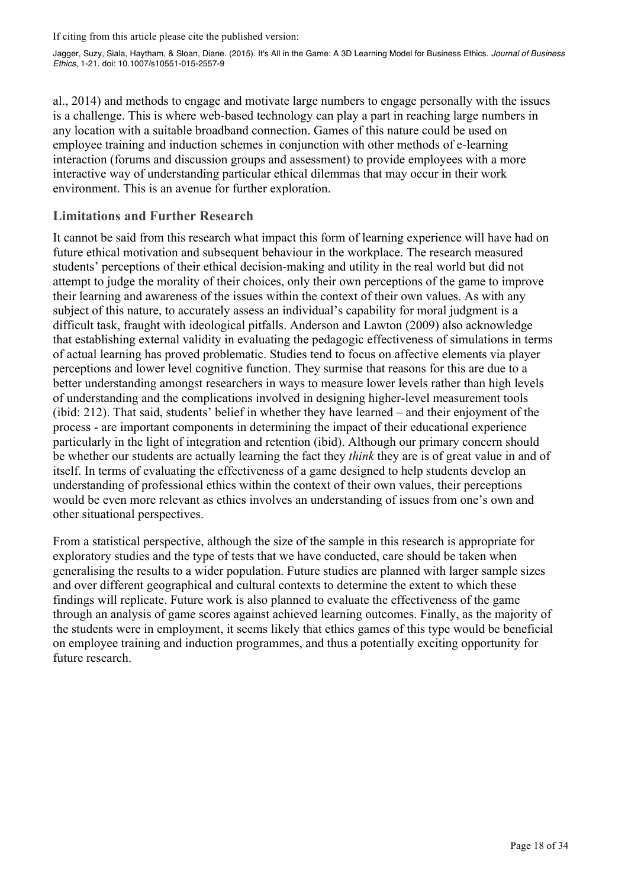Jagger, Suzy, Siala, Haytham, & Sloan, Diane. (2015). It's All in the Game: A 3D Learning Model for Business Ethics. Journal of Business Ethics, 1-21. doi: 10.1007/s10551-015-2557-9

al., 2014) and methods to engage and motivate large numbers to engage personally with the issues is a challenge. This is where web-based technology can play a part in reaching large numbers in any location with a suitable broadband connection. Games of this nature could be used on employee training and induction schemes in conjunction with other methods of e-learning interaction (forums and discussion groups and assessment) to provide employees with a more interactive way of understanding particular ethical dilemmas that may occur in their work environment. This is an avenue for further exploration.

## **Limitations and Further Research**

It cannot be said from this research what impact this form of learning experience will have had on future ethical motivation and subsequent behaviour in the workplace. The research measured students' perceptions of their ethical decision-making and utility in the real world but did not attempt to judge the morality of their choices, only their own perceptions of the game to improve their learning and awareness of the issues within the context of their own values. As with any subject of this nature, to accurately assess an individual's capability for moral judgment is a difficult task, fraught with ideological pitfalls. Anderson and Lawton (2009) also acknowledge that establishing external validity in evaluating the pedagogic effectiveness of simulations in terms of actual learning has proved problematic. Studies tend to focus on affective elements via player perceptions and lower level cognitive function. They surmise that reasons for this are due to a better understanding amongst researchers in ways to measure lower levels rather than high levels of understanding and the complications involved in designing higher-level measurement tools (ibid: 212). That said, students' belief in whether they have learned – and their enjoyment of the process - are important components in determining the impact of their educational experience particularly in the light of integration and retention (ibid). Although our primary concern should be whether our students are actually learning the fact they *think* they are is of great value in and of itself. In terms of evaluating the effectiveness of a game designed to help students develop an understanding of professional ethics within the context of their own values, their perceptions would be even more relevant as ethics involves an understanding of issues from one's own and other situational perspectives.

From a statistical perspective, although the size of the sample in this research is appropriate for exploratory studies and the type of tests that we have conducted, care should be taken when generalising the results to a wider population. Future studies are planned with larger sample sizes and over different geographical and cultural contexts to determine the extent to which these findings will replicate. Future work is also planned to evaluate the effectiveness of the game through an analysis of game scores against achieved learning outcomes. Finally, as the majority of the students were in employment, it seems likely that ethics games of this type would be beneficial on employee training and induction programmes, and thus a potentially exciting opportunity for future research.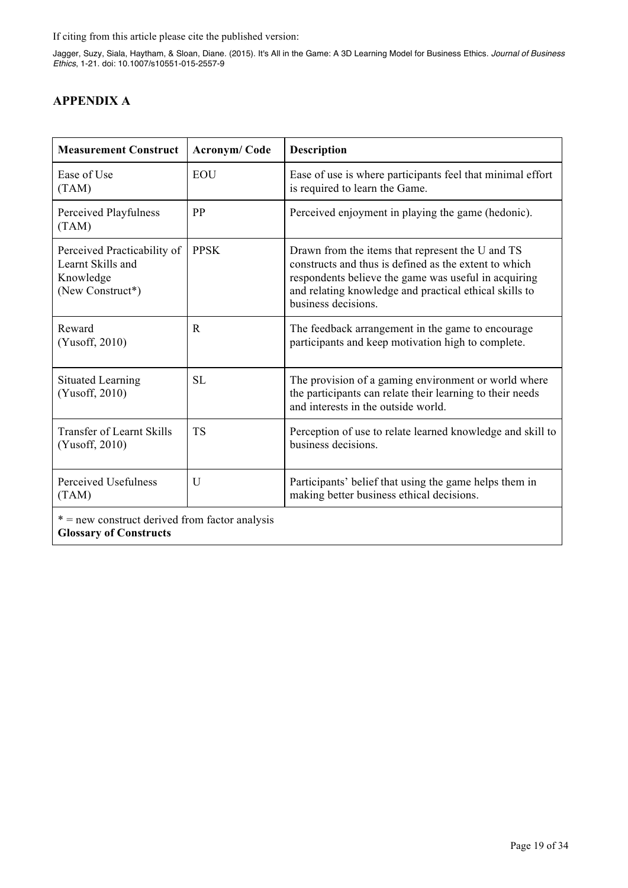Jagger, Suzy, Siala, Haytham, & Sloan, Diane. (2015). It's All in the Game: A 3D Learning Model for Business Ethics. Journal of Business Ethics, 1-21. doi: 10.1007/s10551-015-2557-9

## **APPENDIX A**

| <b>Measurement Construct</b>                                                      | <b>Acronym/Code</b> | <b>Description</b>                                                                                                                                                                                                                                 |
|-----------------------------------------------------------------------------------|---------------------|----------------------------------------------------------------------------------------------------------------------------------------------------------------------------------------------------------------------------------------------------|
| Ease of Use<br>(TAM)                                                              | <b>EOU</b>          | Ease of use is where participants feel that minimal effort<br>is required to learn the Game.                                                                                                                                                       |
| Perceived Playfulness<br>(TAM)                                                    | PP                  | Perceived enjoyment in playing the game (hedonic).                                                                                                                                                                                                 |
| Perceived Practicability of<br>Learnt Skills and<br>Knowledge<br>(New Construct*) | <b>PPSK</b>         | Drawn from the items that represent the U and TS<br>constructs and thus is defined as the extent to which<br>respondents believe the game was useful in acquiring<br>and relating knowledge and practical ethical skills to<br>business decisions. |
| Reward<br>(Yusoff, 2010)                                                          | R                   | The feedback arrangement in the game to encourage<br>participants and keep motivation high to complete.                                                                                                                                            |
| <b>Situated Learning</b><br>(Yusoff, 2010)                                        | <b>SL</b>           | The provision of a gaming environment or world where<br>the participants can relate their learning to their needs<br>and interests in the outside world.                                                                                           |
| <b>Transfer of Learnt Skills</b><br>(Yusoff, 2010)                                | <b>TS</b>           | Perception of use to relate learned knowledge and skill to<br>business decisions.                                                                                                                                                                  |
| Perceived Usefulness<br>(TAM)                                                     | U                   | Participants' belief that using the game helps them in<br>making better business ethical decisions.                                                                                                                                                |
| $*$ = new construct derived from factor analysis<br><b>Glossary of Constructs</b> |                     |                                                                                                                                                                                                                                                    |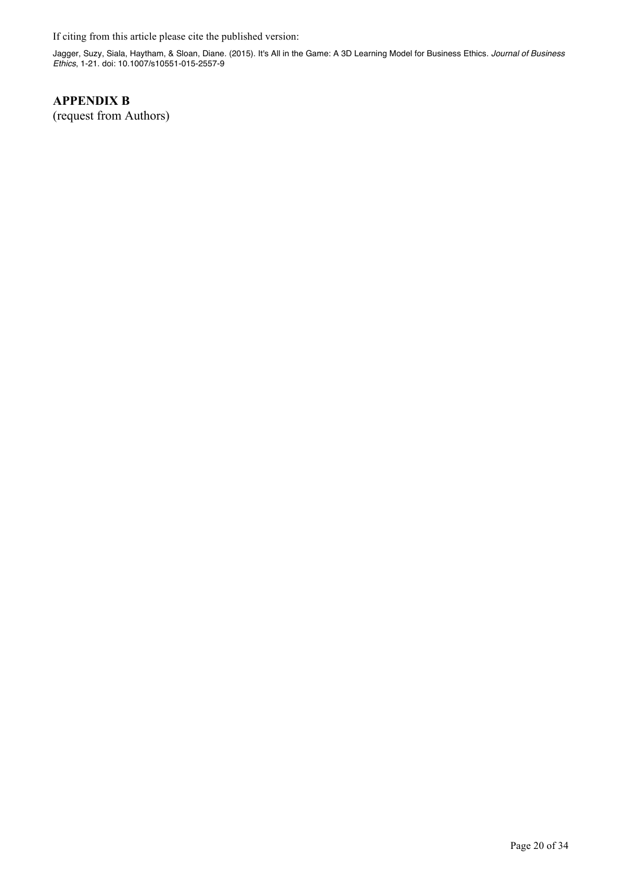Jagger, Suzy, Siala, Haytham, & Sloan, Diane. (2015). It's All in the Game: A 3D Learning Model for Business Ethics. Journal of Business Ethics, 1-21. doi: 10.1007/s10551-015-2557-9

**APPENDIX B** (request from Authors)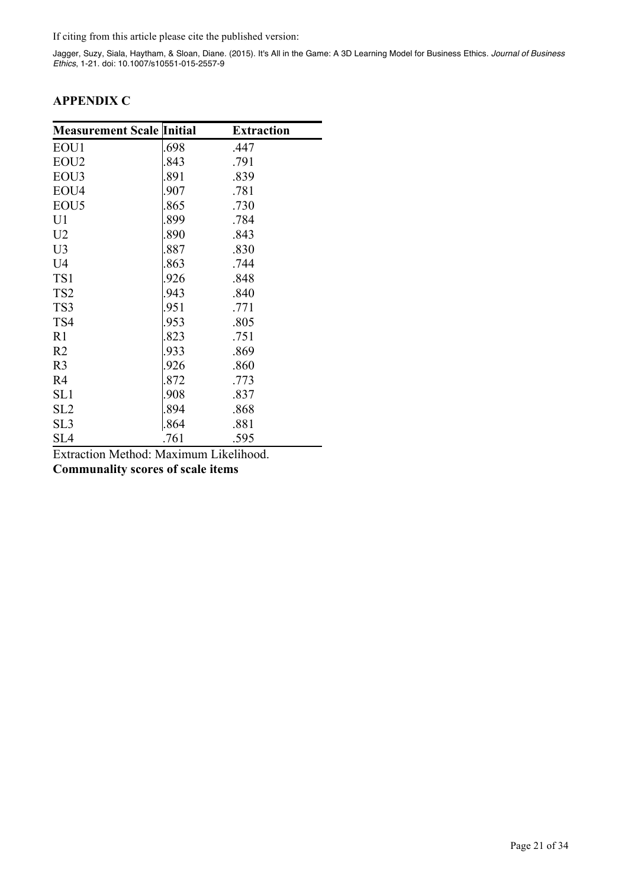Jagger, Suzy, Siala, Haytham, & Sloan, Diane. (2015). It's All in the Game: A 3D Learning Model for Business Ethics. Journal of Business Ethics, 1-21. doi: 10.1007/s10551-015-2557-9

## **APPENDIX C**

| <b>Measurement Scale Initial</b> |      | <b>Extraction</b> |
|----------------------------------|------|-------------------|
| EOU1                             | .698 | .447              |
| EOU <sub>2</sub>                 | 843  | .791              |
| EOU3                             | 891  | .839              |
| EOU4                             | 907  | .781              |
| EOU <sub>5</sub>                 | 865  | .730              |
| U <sub>1</sub>                   | 899  | .784              |
| U <sub>2</sub>                   | 890  | .843              |
| U <sub>3</sub>                   | 887  | .830              |
| U <sub>4</sub>                   | 863  | .744              |
| TS1                              | 926  | .848              |
| TS <sub>2</sub>                  | 943  | .840              |
| TS3                              | 951  | .771              |
| TS4                              | .953 | .805              |
| R1                               | 823  | .751              |
| R <sub>2</sub>                   | 933  | .869              |
| R <sub>3</sub>                   | .926 | .860              |
| R <sub>4</sub>                   | 872  | .773              |
| SL1                              | 908  | .837              |
| SL <sub>2</sub>                  | 894  | .868              |
| SL <sub>3</sub>                  | .864 | .881              |
| SL4                              | .761 | .595              |

Extraction Method: Maximum Likelihood.

**Communality scores of scale items**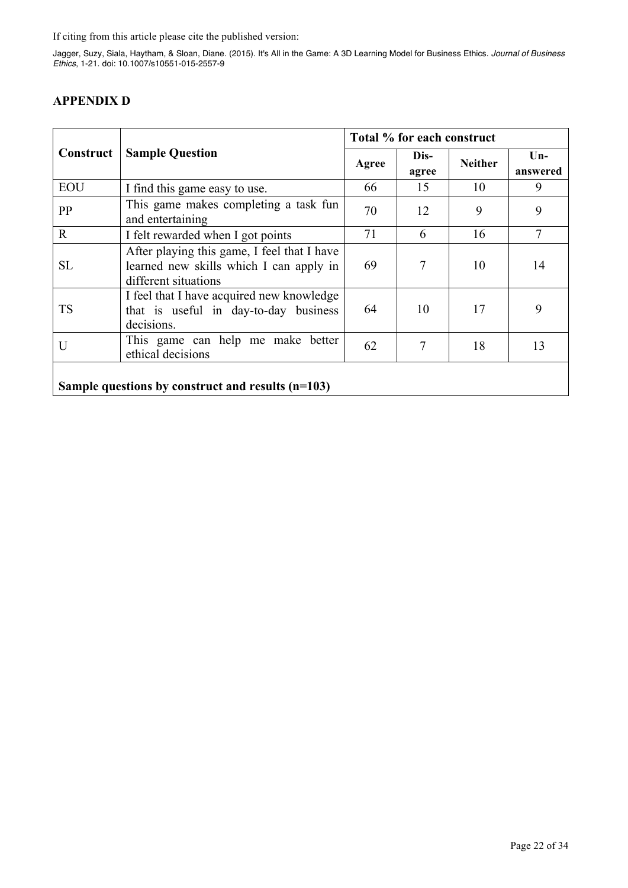Jagger, Suzy, Siala, Haytham, & Sloan, Diane. (2015). It's All in the Game: A 3D Learning Model for Business Ethics. Journal of Business Ethics, 1-21. doi: 10.1007/s10551-015-2557-9

## **APPENDIX D**

|                |                                                                                                                | Total % for each construct |               |                |                   |  |
|----------------|----------------------------------------------------------------------------------------------------------------|----------------------------|---------------|----------------|-------------------|--|
| Construct      | <b>Sample Question</b>                                                                                         | Agree                      | Dis-<br>agree | <b>Neither</b> | $Un-$<br>answered |  |
| <b>EOU</b>     | I find this game easy to use.                                                                                  | 66                         | 15            | 10             | 9                 |  |
| PP             | This game makes completing a task fun<br>and entertaining                                                      | 70                         | 12            | 9              | 9                 |  |
| $\mathbf R$    | I felt rewarded when I got points                                                                              | 71                         | 6             | 16             | 7                 |  |
| <b>SL</b>      | After playing this game, I feel that I have<br>learned new skills which I can apply in<br>different situations | 69                         | 7             | 10             | 14                |  |
| <b>TS</b>      | I feel that I have acquired new knowledge<br>that is useful in day-to-day business<br>decisions.               | 64                         | 10            | 17             | 9                 |  |
| $\overline{U}$ | This game can help me make better<br>ethical decisions                                                         | 62                         | 7             | 18             | 13                |  |
|                | Sample questions by construct and results $(n=103)$                                                            |                            |               |                |                   |  |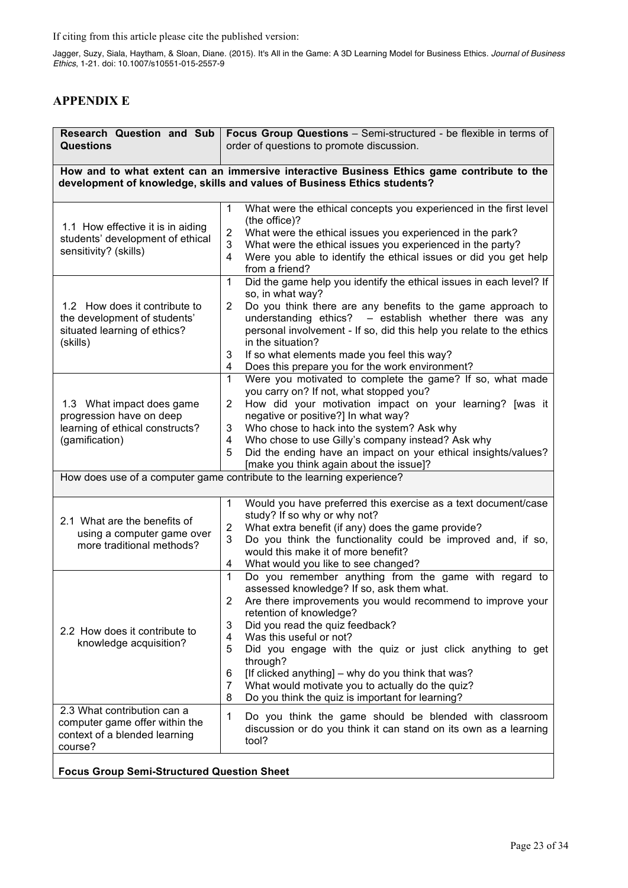Jagger, Suzy, Siala, Haytham, & Sloan, Diane. (2015). It's All in the Game: A 3D Learning Model for Business Ethics. Journal of Business Ethics, 1-21. doi: 10.1007/s10551-015-2557-9

## **APPENDIX E**

| <b>Research Question and Sub</b><br><b>Questions</b>                                                       | <b>Focus Group Questions</b> – Semi-structured - be flexible in terms of<br>order of questions to promote discussion.                                                                                                                                                                                                                                                                                                                                                                                                                               |
|------------------------------------------------------------------------------------------------------------|-----------------------------------------------------------------------------------------------------------------------------------------------------------------------------------------------------------------------------------------------------------------------------------------------------------------------------------------------------------------------------------------------------------------------------------------------------------------------------------------------------------------------------------------------------|
|                                                                                                            | How and to what extent can an immersive interactive Business Ethics game contribute to the<br>development of knowledge, skills and values of Business Ethics students?                                                                                                                                                                                                                                                                                                                                                                              |
| 1.1 How effective it is in aiding<br>students' development of ethical<br>sensitivity? (skills)             | 1<br>What were the ethical concepts you experienced in the first level<br>(the office)?<br>What were the ethical issues you experienced in the park?<br>$\overline{2}$<br>3<br>What were the ethical issues you experienced in the party?<br>$\overline{4}$<br>Were you able to identify the ethical issues or did you get help<br>from a friend?                                                                                                                                                                                                   |
| 1.2 How does it contribute to<br>the development of students'<br>situated learning of ethics?<br>(skills)  | Did the game help you identify the ethical issues in each level? If<br>1<br>so, in what way?<br>Do you think there are any benefits to the game approach to<br>$\overline{2}$<br>understanding ethics? - establish whether there was any<br>personal involvement - If so, did this help you relate to the ethics<br>in the situation?<br>If so what elements made you feel this way?<br>3<br>Does this prepare you for the work environment?<br>4                                                                                                   |
| 1.3 What impact does game<br>progression have on deep<br>learning of ethical constructs?<br>(gamification) | Were you motivated to complete the game? If so, what made<br>1<br>you carry on? If not, what stopped you?<br>How did your motivation impact on your learning? [was it<br>2<br>negative or positive?] In what way?<br>Who chose to hack into the system? Ask why<br>3<br>Who chose to use Gilly's company instead? Ask why<br>4<br>Did the ending have an impact on your ethical insights/values?<br>5<br>[make you think again about the issue]?                                                                                                    |
|                                                                                                            | How does use of a computer game contribute to the learning experience?                                                                                                                                                                                                                                                                                                                                                                                                                                                                              |
| 2.1 What are the benefits of<br>using a computer game over<br>more traditional methods?                    | Would you have preferred this exercise as a text document/case<br>1<br>study? If so why or why not?<br>$\overline{2}$<br>What extra benefit (if any) does the game provide?<br>Do you think the functionality could be improved and, if so,<br>3<br>would this make it of more benefit?<br>What would you like to see changed?<br>4                                                                                                                                                                                                                 |
| 2.2 How does it contribute to<br>knowledge acquisition?                                                    | Do you remember anything from the game with regard to<br>$\mathbf 1$<br>assessed knowledge? If so, ask them what.<br>2<br>Are there improvements you would recommend to improve your<br>retention of knowledge?<br>Did you read the quiz feedback?<br>3<br>Was this useful or not?<br>4<br>5<br>Did you engage with the quiz or just click anything to get<br>through?<br>[If clicked anything] – why do you think that was?<br>6<br>7<br>What would motivate you to actually do the quiz?<br>Do you think the quiz is important for learning?<br>8 |
| 2.3 What contribution can a<br>computer game offer within the<br>context of a blended learning<br>course?  | 1<br>Do you think the game should be blended with classroom<br>discussion or do you think it can stand on its own as a learning<br>tool?                                                                                                                                                                                                                                                                                                                                                                                                            |
| <b>Focus Group Semi-Structured Question Sheet</b>                                                          |                                                                                                                                                                                                                                                                                                                                                                                                                                                                                                                                                     |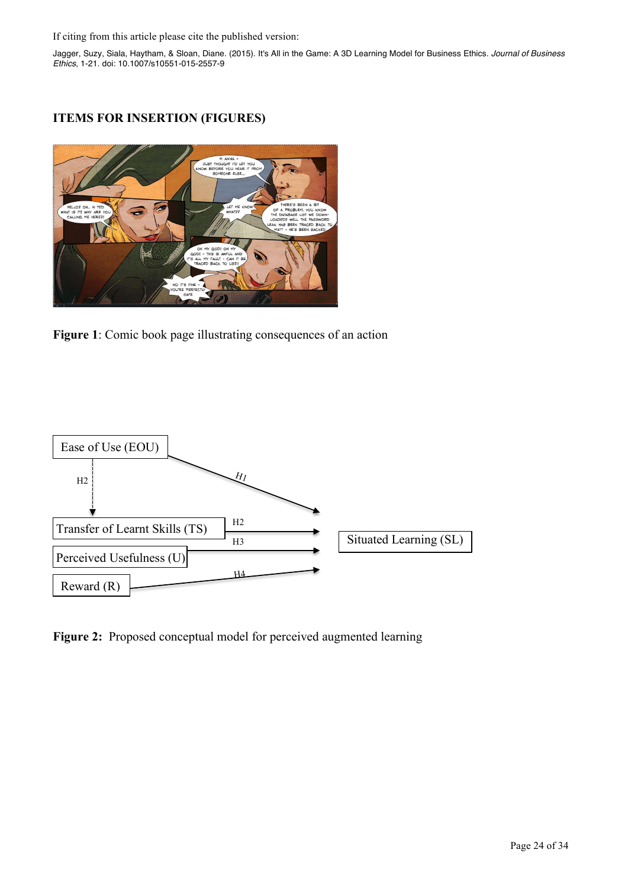Jagger, Suzy, Siala, Haytham, & Sloan, Diane. (2015). It's All in the Game: A 3D Learning Model for Business Ethics. Journal of Business Ethics, 1-21. doi: 10.1007/s10551-015-2557-9

## **ITEMS FOR INSERTION (FIGURES)**



**Figure 1**: Comic book page illustrating consequences of an action



Figure 2: Proposed conceptual model for perceived augmented learning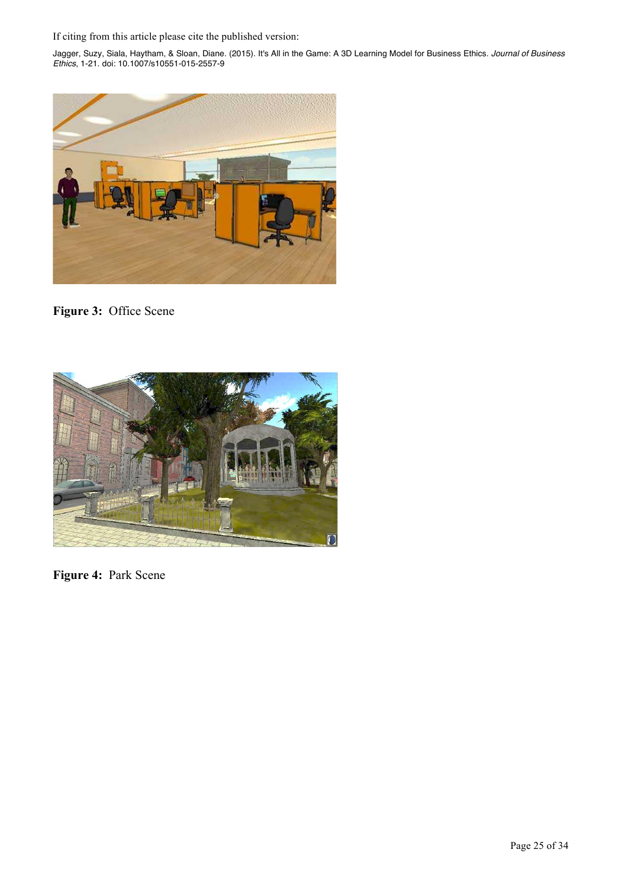Jagger, Suzy, Siala, Haytham, & Sloan, Diane. (2015). It's All in the Game: A 3D Learning Model for Business Ethics. Journal of Business Ethics, 1-21. doi: 10.1007/s10551-015-2557-9



**Figure 3:** Office Scene



**Figure 4:** Park Scene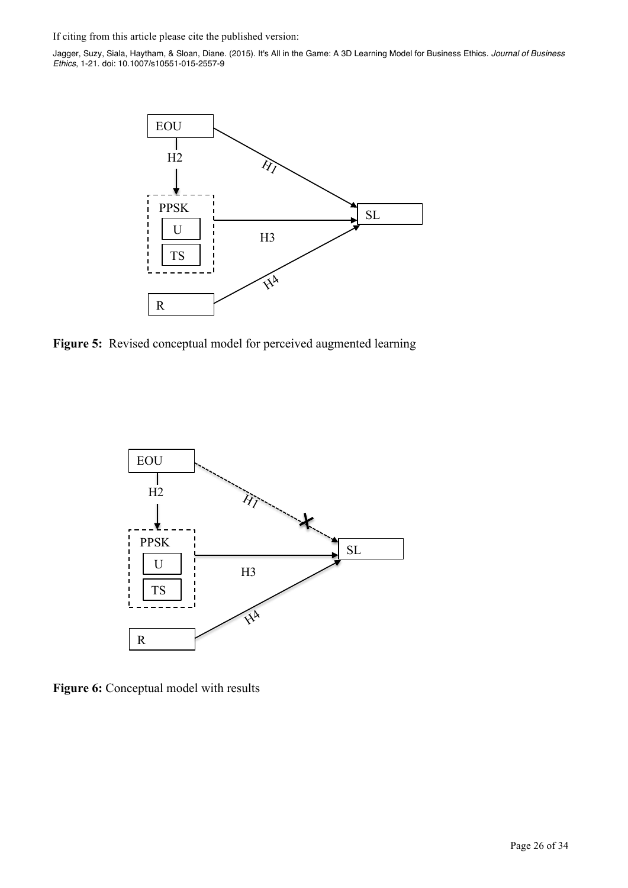Jagger, Suzy, Siala, Haytham, & Sloan, Diane. (2015). It's All in the Game: A 3D Learning Model for Business Ethics. Journal of Business Ethics, 1-21. doi: 10.1007/s10551-015-2557-9



**Figure 5:** Revised conceptual model for perceived augmented learning



Figure 6: Conceptual model with results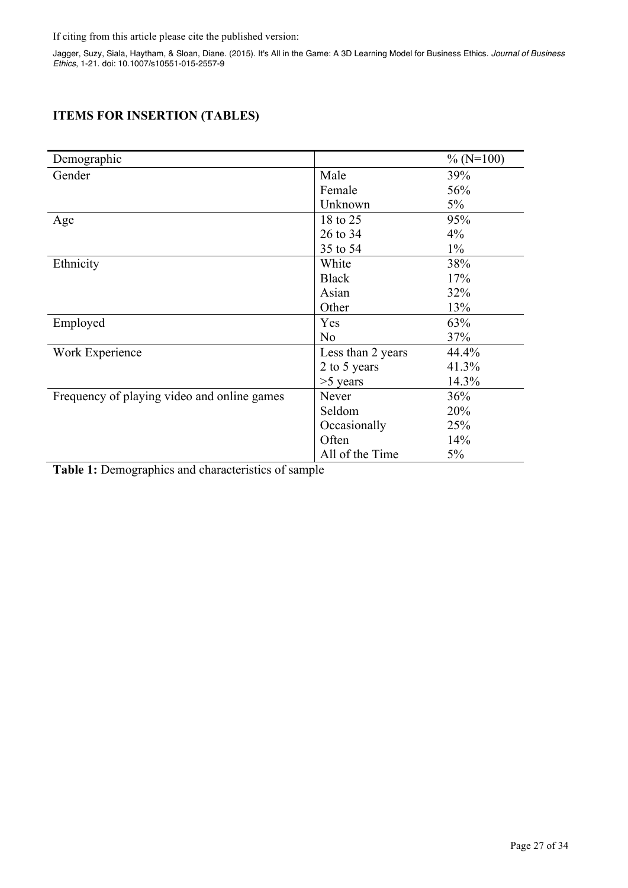Jagger, Suzy, Siala, Haytham, & Sloan, Diane. (2015). It's All in the Game: A 3D Learning Model for Business Ethics. Journal of Business Ethics, 1-21. doi: 10.1007/s10551-015-2557-9

## **ITEMS FOR INSERTION (TABLES)**

| Demographic                                 |                   | $\%$ (N=100) |
|---------------------------------------------|-------------------|--------------|
| Gender                                      | Male              | 39%          |
|                                             | Female            | 56%          |
|                                             | Unknown           | 5%           |
| Age                                         | 18 to 25          | 95%          |
|                                             | 26 to 34          | $4\%$        |
|                                             | 35 to 54          | $1\%$        |
| Ethnicity                                   | White             | 38%          |
|                                             | <b>Black</b>      | 17%          |
|                                             | Asian             | 32%          |
|                                             | Other             | 13%          |
| Employed                                    | Yes               | 63%          |
|                                             | N <sub>o</sub>    | 37%          |
| Work Experience                             | Less than 2 years | 44.4%        |
|                                             | 2 to 5 years      | 41.3%        |
|                                             | $>5$ years        | 14.3%        |
| Frequency of playing video and online games | Never             | 36%          |
|                                             | Seldom            | 20%          |
|                                             | Occasionally      | 25%          |
|                                             | Often             | 14%          |
|                                             | All of the Time   | 5%           |

**Table 1:** Demographics and characteristics of sample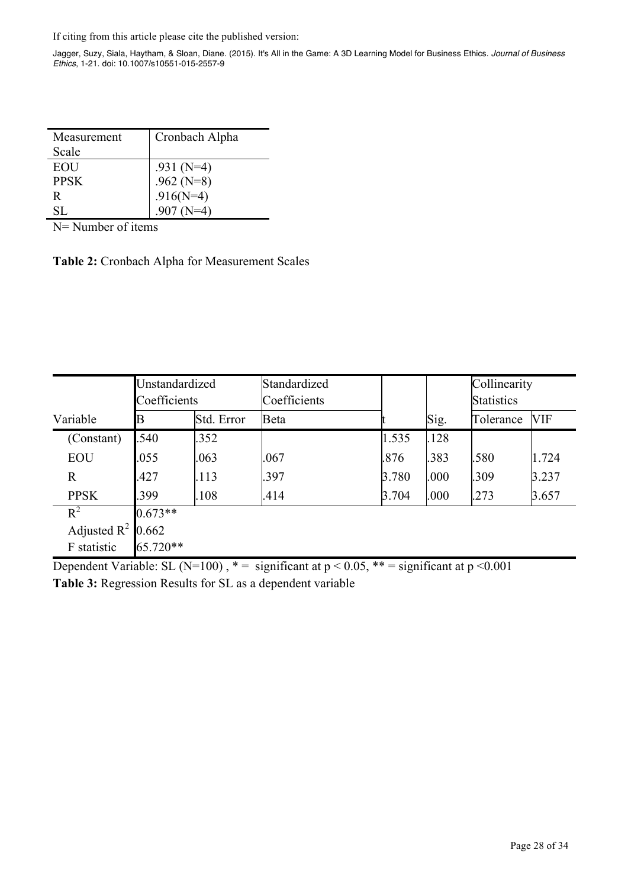Jagger, Suzy, Siala, Haytham, & Sloan, Diane. (2015). It's All in the Game: A 3D Learning Model for Business Ethics. Journal of Business Ethics, 1-21. doi: 10.1007/s10551-015-2557-9

| Measurement | Cronbach Alpha                        |
|-------------|---------------------------------------|
| Scale       |                                       |
| EOU         |                                       |
| <b>PPSK</b> | .931 (N=4)<br>.962 (N=8)<br>.916(N=4) |
| R           |                                       |
| SL.         | .907 ( $N=4$ )                        |
|             |                                       |

N= Number of items

**Table 2:** Cronbach Alpha for Measurement Scales

|                | Unstandardized<br>Coefficients |            | Standardized<br>Coefficients |       |      | Collinearity<br><b>Statistics</b> |            |
|----------------|--------------------------------|------------|------------------------------|-------|------|-----------------------------------|------------|
| Variable       | В                              | Std. Error | Beta                         |       | Sig. | Tolerance                         | <b>VIF</b> |
| (Constant)     | .540                           | 352        |                              | 1.535 | .128 |                                   |            |
| <b>EOU</b>     | .055                           | .063       | .067                         | .876  | .383 | .580                              | 1.724      |
| $\mathbf R$    | .427                           | .113       | .397                         | 3.780 | .000 | .309                              | 3.237      |
| <b>PPSK</b>    | 399                            | 108        | .414                         | 3.704 | .000 | .273                              | 3.657      |
| $R^2$          | $0.673**$                      |            |                              |       |      |                                   |            |
| Adjusted $R^2$ | 0.662                          |            |                              |       |      |                                   |            |
| F statistic    | 65.720**                       |            |                              |       |      |                                   |            |

Dependent Variable: SL (N=100),  $* =$  significant at p < 0.05,  $** =$  significant at p < 0.001 **Table 3:** Regression Results for SL as a dependent variable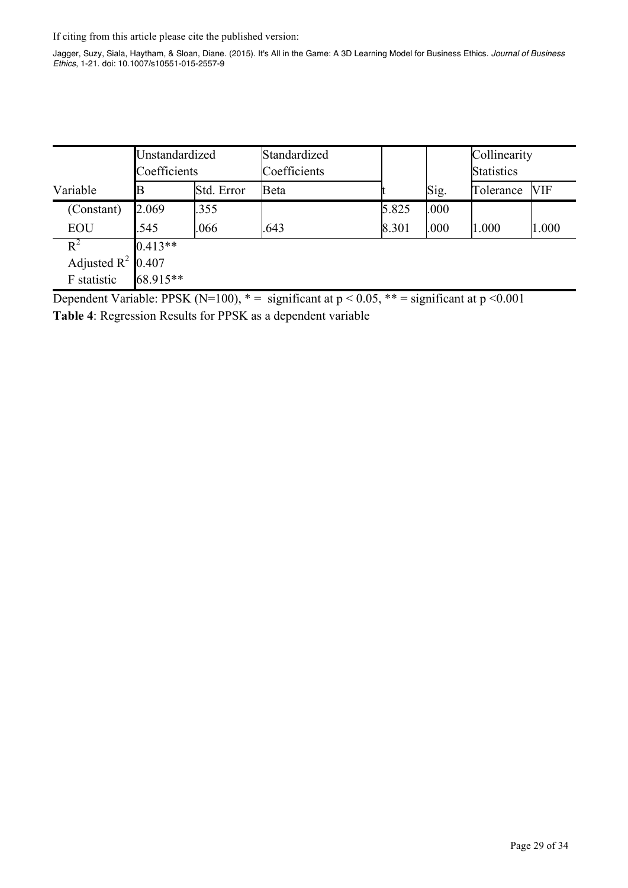Jagger, Suzy, Siala, Haytham, & Sloan, Diane. (2015). It's All in the Game: A 3D Learning Model for Business Ethics. Journal of Business Ethics, 1-21. doi: 10.1007/s10551-015-2557-9

|                      | Unstandardized<br>Coefficients |            | Standardized<br>Coefficients |       |      | Collinearity<br><b>Statistics</b> |            |
|----------------------|--------------------------------|------------|------------------------------|-------|------|-----------------------------------|------------|
| Variable             | B                              | Std. Error | Beta                         |       | Sig. | Tolerance                         | <b>VIF</b> |
| (Constant)           | 2.069                          | .355       |                              | 5.825 | .000 |                                   |            |
| <b>EOU</b>           | .545                           | .066       | .643                         | 8.301 | .000 | 1.000                             | 1.000      |
| $R^2$                | $0.413**$                      |            |                              |       |      |                                   |            |
| Adjusted $R^2$ 0.407 |                                |            |                              |       |      |                                   |            |
| F statistic          | 68.915**                       |            |                              |       |      |                                   |            |

Dependent Variable: PPSK (N=100),  $* =$  significant at p < 0.05,  $** =$  significant at p < 0.001 **Table 4**: Regression Results for PPSK as a dependent variable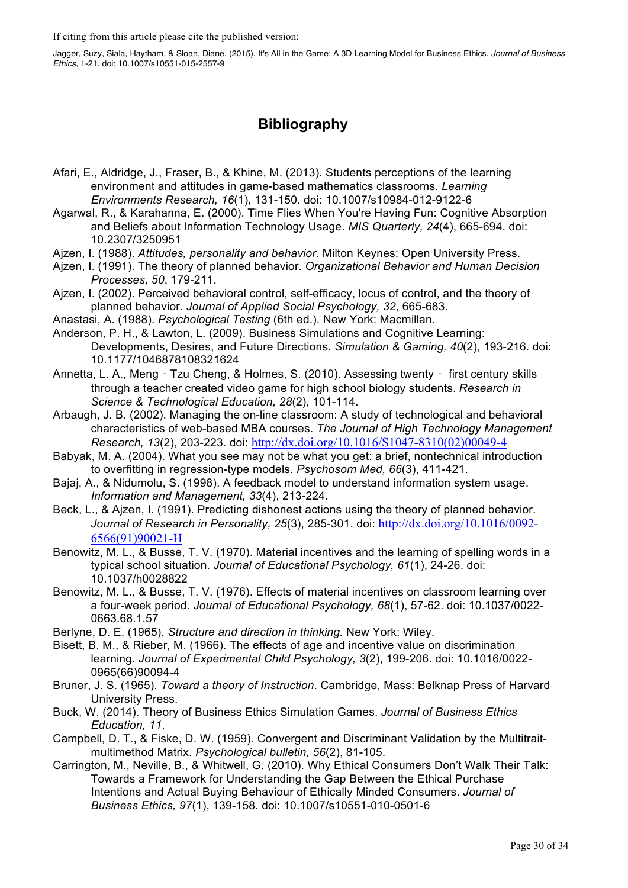Jagger, Suzy, Siala, Haytham, & Sloan, Diane. (2015). It's All in the Game: A 3D Learning Model for Business Ethics. Journal of Business Ethics, 1-21. doi: 10.1007/s10551-015-2557-9

# **Bibliography**

- Afari, E., Aldridge, J., Fraser, B., & Khine, M. (2013). Students perceptions of the learning environment and attitudes in game-based mathematics classrooms. *Learning Environments Research, 16*(1), 131-150. doi: 10.1007/s10984-012-9122-6
- Agarwal, R., & Karahanna, E. (2000). Time Flies When You're Having Fun: Cognitive Absorption and Beliefs about Information Technology Usage. *MIS Quarterly, 24*(4), 665-694. doi: 10.2307/3250951
- Ajzen, I. (1988). *Attitudes, personality and behavior*. Milton Keynes: Open University Press.
- Ajzen, I. (1991). The theory of planned behavior. *Organizational Behavior and Human Decision Processes, 50*, 179-211.
- Ajzen, I. (2002). Perceived behavioral control, self-efficacy, locus of control, and the theory of planned behavior. *Journal of Applied Social Psychology, 32*, 665-683.
- Anastasi, A. (1988). *Psychological Testing* (6th ed.). New York: Macmillan.
- Anderson, P. H., & Lawton, L. (2009). Business Simulations and Cognitive Learning: Developments, Desires, and Future Directions. *Simulation & Gaming, 40*(2), 193-216. doi: 10.1177/1046878108321624
- Annetta, L. A., Meng Tzu Cheng, & Holmes, S. (2010). Assessing twenty first century skills through a teacher created video game for high school biology students. *Research in Science & Technological Education, 28*(2), 101-114.
- Arbaugh, J. B. (2002). Managing the on-line classroom: A study of technological and behavioral characteristics of web-based MBA courses. *The Journal of High Technology Management Research, 13*(2), 203-223. doi: http://dx.doi.org/10.1016/S1047-8310(02)00049-4
- Babyak, M. A. (2004). What you see may not be what you get: a brief, nontechnical introduction to overfitting in regression-type models. *Psychosom Med, 66*(3), 411-421.
- Bajaj, A., & Nidumolu, S. (1998). A feedback model to understand information system usage. *Information and Management, 33*(4), 213-224.
- Beck, L., & Ajzen, I. (1991). Predicting dishonest actions using the theory of planned behavior. *Journal of Research in Personality, 25*(3), 285-301. doi: http://dx.doi.org/10.1016/0092- 6566(91)90021-H
- Benowitz, M. L., & Busse, T. V. (1970). Material incentives and the learning of spelling words in a typical school situation. *Journal of Educational Psychology, 61*(1), 24-26. doi: 10.1037/h0028822
- Benowitz, M. L., & Busse, T. V. (1976). Effects of material incentives on classroom learning over a four-week period. *Journal of Educational Psychology, 68*(1), 57-62. doi: 10.1037/0022- 0663.68.1.57
- Berlyne, D. E. (1965). *Structure and direction in thinking.* New York: Wiley.
- Bisett, B. M., & Rieber, M. (1966). The effects of age and incentive value on discrimination learning. *Journal of Experimental Child Psychology, 3*(2), 199-206. doi: 10.1016/0022- 0965(66)90094-4
- Bruner, J. S. (1965). *Toward a theory of Instruction*. Cambridge, Mass: Belknap Press of Harvard University Press.
- Buck, W. (2014). Theory of Business Ethics Simulation Games. *Journal of Business Ethics Education, 11*.
- Campbell, D. T., & Fiske, D. W. (1959). Convergent and Discriminant Validation by the Multitraitmultimethod Matrix. *Psychological bulletin, 56*(2), 81-105.
- Carrington, M., Neville, B., & Whitwell, G. (2010). Why Ethical Consumers Don't Walk Their Talk: Towards a Framework for Understanding the Gap Between the Ethical Purchase Intentions and Actual Buying Behaviour of Ethically Minded Consumers. *Journal of Business Ethics, 97*(1), 139-158. doi: 10.1007/s10551-010-0501-6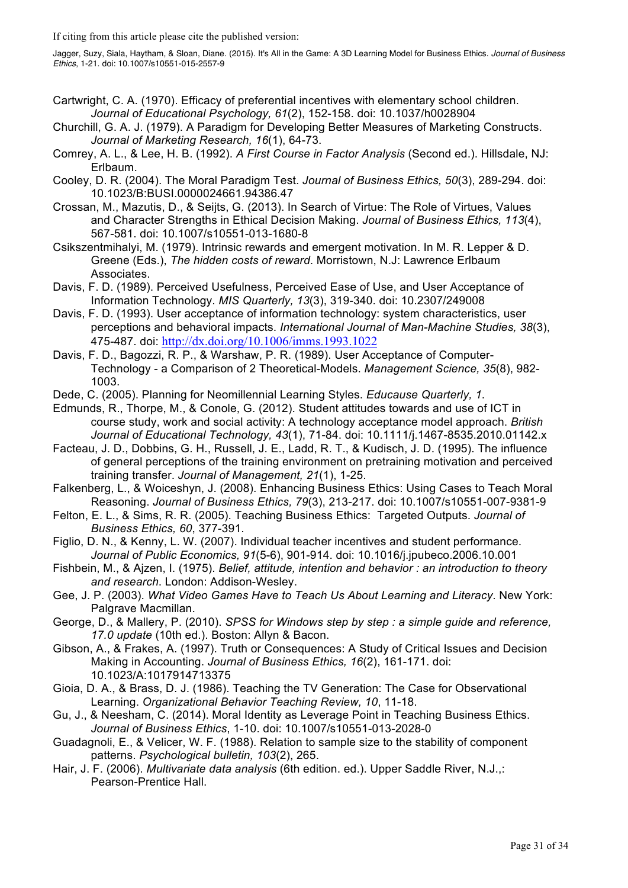Jagger, Suzy, Siala, Haytham, & Sloan, Diane. (2015). It's All in the Game: A 3D Learning Model for Business Ethics. Journal of Business Ethics, 1-21. doi: 10.1007/s10551-015-2557-9

- Cartwright, C. A. (1970). Efficacy of preferential incentives with elementary school children. *Journal of Educational Psychology, 61*(2), 152-158. doi: 10.1037/h0028904
- Churchill, G. A. J. (1979). A Paradigm for Developing Better Measures of Marketing Constructs. *Journal of Marketing Research, 16*(1), 64-73.
- Comrey, A. L., & Lee, H. B. (1992). *A First Course in Factor Analysis* (Second ed.). Hillsdale, NJ: **Erlbaum**
- Cooley, D. R. (2004). The Moral Paradigm Test. *Journal of Business Ethics, 50*(3), 289-294. doi: 10.1023/B:BUSI.0000024661.94386.47
- Crossan, M., Mazutis, D., & Seijts, G. (2013). In Search of Virtue: The Role of Virtues, Values and Character Strengths in Ethical Decision Making. *Journal of Business Ethics, 113*(4), 567-581. doi: 10.1007/s10551-013-1680-8
- Csikszentmihalyi, M. (1979). Intrinsic rewards and emergent motivation. In M. R. Lepper & D. Greene (Eds.), *The hidden costs of reward*. Morristown, N.J: Lawrence Erlbaum Associates.
- Davis, F. D. (1989). Perceived Usefulness, Perceived Ease of Use, and User Acceptance of Information Technology. *MIS Quarterly, 13*(3), 319-340. doi: 10.2307/249008
- Davis, F. D. (1993). User acceptance of information technology: system characteristics, user perceptions and behavioral impacts. *International Journal of Man-Machine Studies, 38*(3), 475-487. doi: http://dx.doi.org/10.1006/imms.1993.1022
- Davis, F. D., Bagozzi, R. P., & Warshaw, P. R. (1989). User Acceptance of Computer-Technology - a Comparison of 2 Theoretical-Models. *Management Science, 35*(8), 982- 1003.
- Dede, C. (2005). Planning for Neomillennial Learning Styles. *Educause Quarterly, 1*.
- Edmunds, R., Thorpe, M., & Conole, G. (2012). Student attitudes towards and use of ICT in course study, work and social activity: A technology acceptance model approach. *British Journal of Educational Technology, 43*(1), 71-84. doi: 10.1111/j.1467-8535.2010.01142.x
- Facteau, J. D., Dobbins, G. H., Russell, J. E., Ladd, R. T., & Kudisch, J. D. (1995). The influence of general perceptions of the training environment on pretraining motivation and perceived training transfer. *Journal of Management, 21*(1), 1-25.
- Falkenberg, L., & Woiceshyn, J. (2008). Enhancing Business Ethics: Using Cases to Teach Moral Reasoning. *Journal of Business Ethics, 79*(3), 213-217. doi: 10.1007/s10551-007-9381-9
- Felton, E. L., & Sims, R. R. (2005). Teaching Business Ethics: Targeted Outputs. *Journal of Business Ethics, 60*, 377-391.
- Figlio, D. N., & Kenny, L. W. (2007). Individual teacher incentives and student performance. *Journal of Public Economics, 91*(5-6), 901-914. doi: 10.1016/j.jpubeco.2006.10.001
- Fishbein, M., & Ajzen, I. (1975). *Belief, attitude, intention and behavior : an introduction to theory and research*. London: Addison-Wesley.
- Gee, J. P. (2003). *What Video Games Have to Teach Us About Learning and Literacy*. New York: Palgrave Macmillan.
- George, D., & Mallery, P. (2010). *SPSS for Windows step by step : a simple guide and reference, 17.0 update* (10th ed.). Boston: Allyn & Bacon.
- Gibson, A., & Frakes, A. (1997). Truth or Consequences: A Study of Critical Issues and Decision Making in Accounting. *Journal of Business Ethics, 16*(2), 161-171. doi: 10.1023/A:1017914713375
- Gioia, D. A., & Brass, D. J. (1986). Teaching the TV Generation: The Case for Observational Learning. *Organizational Behavior Teaching Review, 10*, 11-18.
- Gu, J., & Neesham, C. (2014). Moral Identity as Leverage Point in Teaching Business Ethics. *Journal of Business Ethics*, 1-10. doi: 10.1007/s10551-013-2028-0
- Guadagnoli, E., & Velicer, W. F. (1988). Relation to sample size to the stability of component patterns. *Psychological bulletin, 103*(2), 265.
- Hair, J. F. (2006). *Multivariate data analysis* (6th edition. ed.). Upper Saddle River, N.J.,: Pearson-Prentice Hall.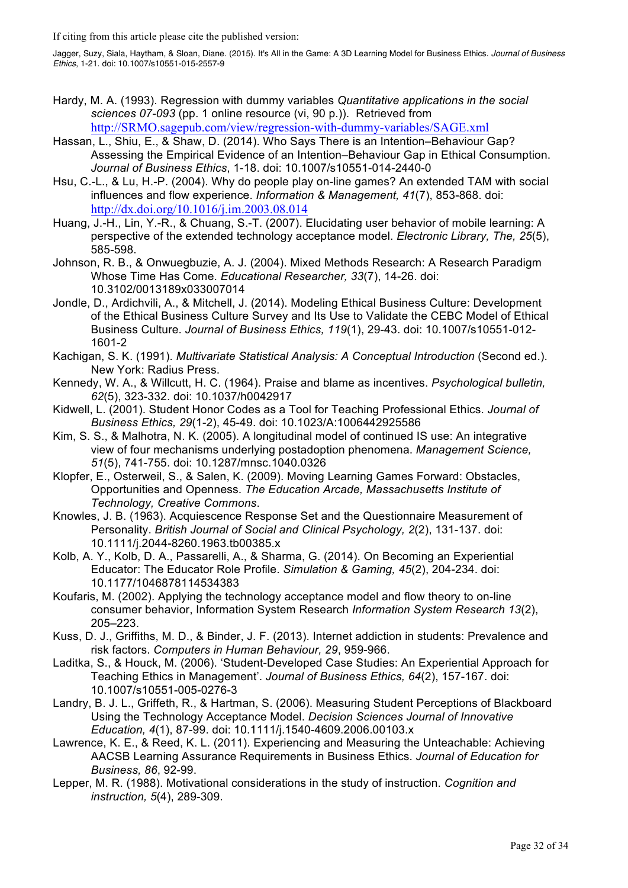Jagger, Suzy, Siala, Haytham, & Sloan, Diane. (2015). It's All in the Game: A 3D Learning Model for Business Ethics. Journal of Business Ethics, 1-21. doi: 10.1007/s10551-015-2557-9

- Hardy, M. A. (1993). Regression with dummy variables *Quantitative applications in the social sciences 07-093* (pp. 1 online resource (vi, 90 p.)). Retrieved from
	- http://SRMO.sagepub.com/view/regression-with-dummy-variables/SAGE.xml
- Hassan, L., Shiu, E., & Shaw, D. (2014). Who Says There is an Intention–Behaviour Gap? Assessing the Empirical Evidence of an Intention–Behaviour Gap in Ethical Consumption. *Journal of Business Ethics*, 1-18. doi: 10.1007/s10551-014-2440-0
- Hsu, C.-L., & Lu, H.-P. (2004). Why do people play on-line games? An extended TAM with social influences and flow experience. *Information & Management, 41*(7), 853-868. doi: http://dx.doi.org/10.1016/j.im.2003.08.014
- Huang, J.-H., Lin, Y.-R., & Chuang, S.-T. (2007). Elucidating user behavior of mobile learning: A perspective of the extended technology acceptance model. *Electronic Library, The, 25*(5), 585-598.
- Johnson, R. B., & Onwuegbuzie, A. J. (2004). Mixed Methods Research: A Research Paradigm Whose Time Has Come. *Educational Researcher, 33*(7), 14-26. doi: 10.3102/0013189x033007014
- Jondle, D., Ardichvili, A., & Mitchell, J. (2014). Modeling Ethical Business Culture: Development of the Ethical Business Culture Survey and Its Use to Validate the CEBC Model of Ethical Business Culture. *Journal of Business Ethics, 119*(1), 29-43. doi: 10.1007/s10551-012- 1601-2
- Kachigan, S. K. (1991). *Multivariate Statistical Analysis: A Conceptual Introduction* (Second ed.). New York: Radius Press.
- Kennedy, W. A., & Willcutt, H. C. (1964). Praise and blame as incentives. *Psychological bulletin, 62*(5), 323-332. doi: 10.1037/h0042917
- Kidwell, L. (2001). Student Honor Codes as a Tool for Teaching Professional Ethics. *Journal of Business Ethics, 29*(1-2), 45-49. doi: 10.1023/A:1006442925586
- Kim, S. S., & Malhotra, N. K. (2005). A longitudinal model of continued IS use: An integrative view of four mechanisms underlying postadoption phenomena. *Management Science, 51*(5), 741-755. doi: 10.1287/mnsc.1040.0326
- Klopfer, E., Osterweil, S., & Salen, K. (2009). Moving Learning Games Forward: Obstacles, Opportunities and Openness. *The Education Arcade, Massachusetts Institute of Technology, Creative Commons*.
- Knowles, J. B. (1963). Acquiescence Response Set and the Questionnaire Measurement of Personality. *British Journal of Social and Clinical Psychology, 2*(2), 131-137. doi: 10.1111/j.2044-8260.1963.tb00385.x
- Kolb, A. Y., Kolb, D. A., Passarelli, A., & Sharma, G. (2014). On Becoming an Experiential Educator: The Educator Role Profile. *Simulation & Gaming, 45*(2), 204-234. doi: 10.1177/1046878114534383
- Koufaris, M. (2002). Applying the technology acceptance model and flow theory to on-line consumer behavior, Information System Research *Information System Research 13*(2), 205–223.
- Kuss, D. J., Griffiths, M. D., & Binder, J. F. (2013). Internet addiction in students: Prevalence and risk factors. *Computers in Human Behaviour, 29*, 959-966.
- Laditka, S., & Houck, M. (2006). 'Student-Developed Case Studies: An Experiential Approach for Teaching Ethics in Management'. *Journal of Business Ethics, 64*(2), 157-167. doi: 10.1007/s10551-005-0276-3
- Landry, B. J. L., Griffeth, R., & Hartman, S. (2006). Measuring Student Perceptions of Blackboard Using the Technology Acceptance Model. *Decision Sciences Journal of Innovative Education, 4*(1), 87-99. doi: 10.1111/j.1540-4609.2006.00103.x
- Lawrence, K. E., & Reed, K. L. (2011). Experiencing and Measuring the Unteachable: Achieving AACSB Learning Assurance Requirements in Business Ethics. *Journal of Education for Business, 86*, 92-99.
- Lepper, M. R. (1988). Motivational considerations in the study of instruction. *Cognition and instruction, 5*(4), 289-309.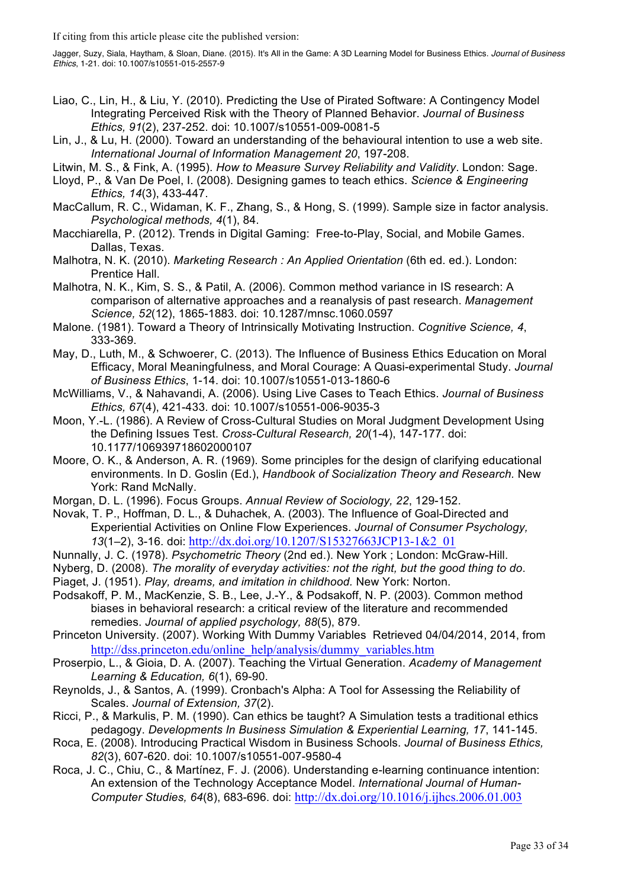Jagger, Suzy, Siala, Haytham, & Sloan, Diane. (2015). It's All in the Game: A 3D Learning Model for Business Ethics. Journal of Business Ethics, 1-21. doi: 10.1007/s10551-015-2557-9

- Liao, C., Lin, H., & Liu, Y. (2010). Predicting the Use of Pirated Software: A Contingency Model Integrating Perceived Risk with the Theory of Planned Behavior. *Journal of Business Ethics, 91*(2), 237-252. doi: 10.1007/s10551-009-0081-5
- Lin, J., & Lu, H. (2000). Toward an understanding of the behavioural intention to use a web site. *International Journal of Information Management 20*, 197-208.
- Litwin, M. S., & Fink, A. (1995). *How to Measure Survey Reliability and Validity*. London: Sage.
- Lloyd, P., & Van De Poel, I. (2008). Designing games to teach ethics. *Science & Engineering Ethics, 14*(3), 433-447.
- MacCallum, R. C., Widaman, K. F., Zhang, S., & Hong, S. (1999). Sample size in factor analysis. *Psychological methods, 4*(1), 84.
- Macchiarella, P. (2012). Trends in Digital Gaming: Free-to-Play, Social, and Mobile Games. Dallas, Texas.
- Malhotra, N. K. (2010). *Marketing Research : An Applied Orientation* (6th ed. ed.). London: Prentice Hall.
- Malhotra, N. K., Kim, S. S., & Patil, A. (2006). Common method variance in IS research: A comparison of alternative approaches and a reanalysis of past research. *Management Science, 52*(12), 1865-1883. doi: 10.1287/mnsc.1060.0597

Malone. (1981). Toward a Theory of Intrinsically Motivating Instruction. *Cognitive Science, 4*, 333-369.

- May, D., Luth, M., & Schwoerer, C. (2013). The Influence of Business Ethics Education on Moral Efficacy, Moral Meaningfulness, and Moral Courage: A Quasi-experimental Study. *Journal of Business Ethics*, 1-14. doi: 10.1007/s10551-013-1860-6
- McWilliams, V., & Nahavandi, A. (2006). Using Live Cases to Teach Ethics. *Journal of Business Ethics, 67*(4), 421-433. doi: 10.1007/s10551-006-9035-3
- Moon, Y.-L. (1986). A Review of Cross-Cultural Studies on Moral Judgment Development Using the Defining Issues Test. *Cross-Cultural Research, 20*(1-4), 147-177. doi: 10.1177/106939718602000107
- Moore, O. K., & Anderson, A. R. (1969). Some principles for the design of clarifying educational environments. In D. Goslin (Ed.), *Handbook of Socialization Theory and Research.* New York: Rand McNally.
- Morgan, D. L. (1996). Focus Groups. *Annual Review of Sociology, 22*, 129-152.
- Novak, T. P., Hoffman, D. L., & Duhachek, A. (2003). The Influence of Goal-Directed and Experiential Activities on Online Flow Experiences. *Journal of Consumer Psychology, 13*(1–2), 3-16. doi: http://dx.doi.org/10.1207/S15327663JCP13-1&2\_01
- Nunnally, J. C. (1978). *Psychometric Theory* (2nd ed.). New York ; London: McGraw-Hill.
- Nyberg, D. (2008). *The morality of everyday activities: not the right, but the good thing to do*. Piaget, J. (1951). *Play, dreams, and imitation in childhood.* New York: Norton.
- Podsakoff, P. M., MacKenzie, S. B., Lee, J.-Y., & Podsakoff, N. P. (2003). Common method biases in behavioral research: a critical review of the literature and recommended remedies. *Journal of applied psychology, 88*(5), 879.
- Princeton University. (2007). Working With Dummy Variables Retrieved 04/04/2014, 2014, from http://dss.princeton.edu/online\_help/analysis/dummy\_variables.htm
- Proserpio, L., & Gioia, D. A. (2007). Teaching the Virtual Generation. *Academy of Management Learning & Education, 6*(1), 69-90.
- Reynolds, J., & Santos, A. (1999). Cronbach's Alpha: A Tool for Assessing the Reliability of Scales. *Journal of Extension, 37*(2).
- Ricci, P., & Markulis, P. M. (1990). Can ethics be taught? A Simulation tests a traditional ethics pedagogy. *Developments In Business Simulation & Experiential Learning, 17*, 141-145.
- Roca, E. (2008). Introducing Practical Wisdom in Business Schools. *Journal of Business Ethics, 82*(3), 607-620. doi: 10.1007/s10551-007-9580-4
- Roca, J. C., Chiu, C., & Martínez, F. J. (2006). Understanding e-learning continuance intention: An extension of the Technology Acceptance Model. *International Journal of Human-Computer Studies, 64*(8), 683-696. doi: http://dx.doi.org/10.1016/j.ijhcs.2006.01.003